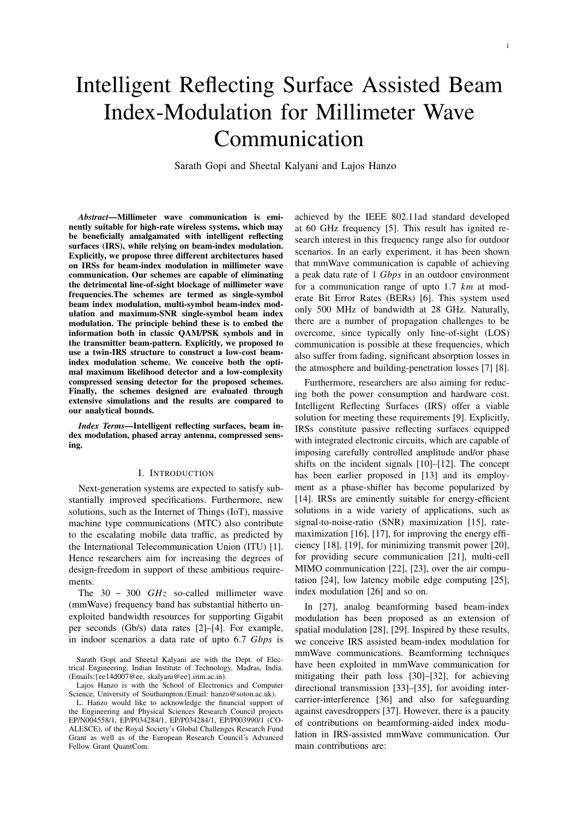# Intelligent Reflecting Surface Assisted Beam Index-Modulation for Millimeter Wave Communication

Sarath Gopi and Sheetal Kalyani and Lajos Hanzo

*Abstract*—Millimeter wave communication is eminently suitable for high-rate wireless systems, which may be beneficially amalgamated with intelligent reflecting surfaces (IRS), while relying on beam-index modulation. Explicitly, we propose three different architectures based on IRSs for beam-index modulation in millimeter wave communication. Our schemes are capable of eliminating the detrimental line-of-sight blockage of millimeter wave frequencies.The schemes are termed as single-symbol beam index modulation, multi-symbol beam-index modulation and maximum-SNR single-symbol beam index modulation. The principle behind these is to embed the information both in classic QAM/PSK symbols and in the transmitter beam-pattern. Explicitly, we proposed to use a twin-IRS structure to construct a low-cost beamindex modulation scheme. We conceive both the optimal maximum likelihood detector and a low-complexity compressed sensing detector for the proposed schemes. Finally, the schemes designed are evaluated through extensive simulations and the results are compared to our analytical bounds.

*Index Terms*—Intelligent reflecting surfaces, beam index modulation, phased array antenna, compressed sensing.

#### I. INTRODUCTION

Next-generation systems are expected to satisfy substantially improved specifications. Furthermore, new solutions, such as the Internet of Things (IoT), massive machine type communications (MTC) also contribute to the escalating mobile data traffic, as predicted by the International Telecommunication Union (ITU) [1]. Hence researchers aim for increasing the degrees of design-freedom in support of these ambitious requirements.

The 30 − 300 *GHz* so-called millimeter wave (mmWave) frequency band has substantial hitherto unexploited bandwidth resources for supporting Gigabit per seconds (Gb/s) data rates [2]–[4]. For example, in indoor scenarios a data rate of upto 6.7 *Gbps* is achieved by the IEEE 802.11ad standard developed at 60 GHz frequency [5]. This result has ignited research interest in this frequency range also for outdoor scenarios. In an early experiment, it has been shown that mmWave communication is capable of achieving a peak data rate of 1 *Gbps* in an outdoor environment for a communication range of upto 1.7 *km* at moderate Bit Error Rates (BERs) [6]. This system used only 500 MHz of bandwidth at 28 GHz. Naturally, there are a number of propagation challenges to be overcome, since typically only line-of-sight (LOS) communication is possible at these frequencies, which also suffer from fading, significant absorption losses in the atmosphere and building-penetration losses [7] [8].

Furthermore, researchers are also aiming for reducing both the power consumption and hardware cost. Intelligent Reflecting Surfaces (IRS) offer a viable solution for meeting these requirements [9]. Explicitly, IRSs constitute passive reflecting surfaces equipped with integrated electronic circuits, which are capable of imposing carefully controlled amplitude and/or phase shifts on the incident signals [10]–[12]. The concept has been earlier proposed in [13] and its employment as a phase-shifter has become popularized by [14]. IRSs are eminently suitable for energy-efficient solutions in a wide variety of applications, such as signal-to-noise-ratio (SNR) maximization [15], ratemaximization [16], [17], for improving the energy efficiency [18], [19], for minimizing transmit power [20], for providing secure communication [21], multi-cell MIMO communication [22], [23], over the air computation [24], low latency mobile edge computing [25], index modulation [26] and so on.

In [27], analog beamforming based beam-index modulation has been proposed as an extension of spatial modulation [28], [29]. Inspired by these results, we conceive IRS assisted beam-index modulation for mmWave communications. Beamforming techniques have been exploited in mmWave communication for mitigating their path loss [30]–[32], for achieving directional transmission [33]–[35], for avoiding intercarrier-interference [36] and also for safeguarding against eavesdroppers [37]. However, there is a paucity of contributions on beamforming-aided index modulation in IRS-assisted mmWave communication. Our main contributions are:

Sarath Gopi and Sheetal Kalyani are with the Dept. of Electrical Engineering, Indian Institute of Technology, Madras, India. (Emails:{ee14d007@ee, skalyani@ee}.iitm.ac.in).

Lajos Hanzo is with the School of Electronics and Computer Science, University of Southampton.(Email: hanzo@soton.ac.uk).

L. Hanzo would like to acknowledge the financial support of the Engineering and Physical Sciences Research Council projects EP/N004558/1, EP/P034284/1, EP/P034284/1, EP/P003990/1 (CO-ALESCE), of the Royal Society's Global Challenges Research Fund Grant as well as of the European Research Council's Advanced Fellow Grant QuantCom.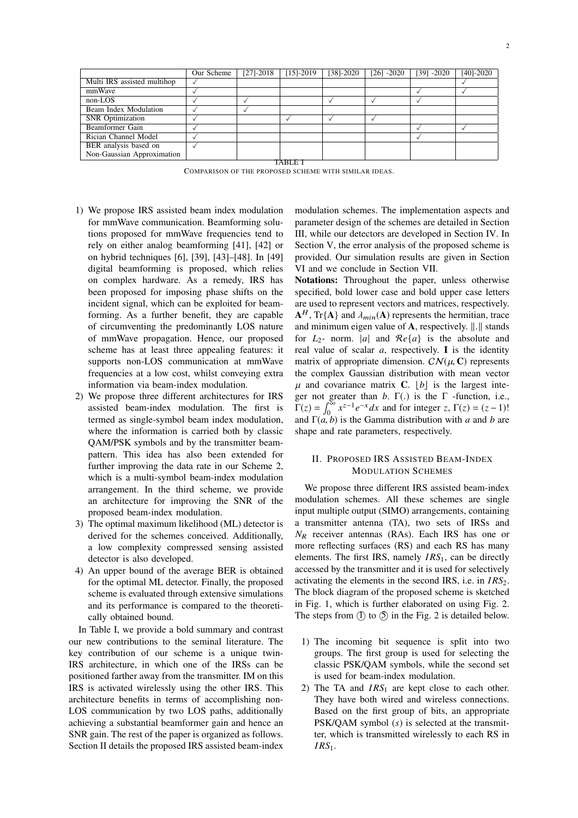|                             | Our Scheme | $[27]-2018$ | $[15]-2019$ | $[38] - 2020$ | $[26] - 2020$ | $[39] -2020$ | $[40] - 2020$ |
|-----------------------------|------------|-------------|-------------|---------------|---------------|--------------|---------------|
| Multi IRS assisted multihop |            |             |             |               |               |              |               |
| mmWave                      |            |             |             |               |               |              |               |
| non-LOS                     |            |             |             |               |               |              |               |
| Beam Index Modulation       |            |             |             |               |               |              |               |
| <b>SNR</b> Optimization     |            |             |             |               |               |              |               |
| Beamformer Gain             |            |             |             |               |               |              |               |
| Rician Channel Model        |            |             |             |               |               |              |               |
| BER analysis based on       |            |             |             |               |               |              |               |
| Non-Gaussian Approximation  |            |             |             |               |               |              |               |
| TABLE 1                     |            |             |             |               |               |              |               |

COMPARISON OF THE PROPOSED SCHEME WITH SIMILAR IDEAS.

- 1) We propose IRS assisted beam index modulation for mmWave communication. Beamforming solutions proposed for mmWave frequencies tend to rely on either analog beamforming [41], [42] or on hybrid techniques [6], [39], [43]–[48]. In [49] digital beamforming is proposed, which relies on complex hardware. As a remedy, IRS has been proposed for imposing phase shifts on the incident signal, which can be exploited for beamforming. As a further benefit, they are capable of circumventing the predominantly LOS nature of mmWave propagation. Hence, our proposed scheme has at least three appealing features: it supports non-LOS communication at mmWave frequencies at a low cost, whilst conveying extra information via beam-index modulation.
- 2) We propose three different architectures for IRS assisted beam-index modulation. The first is termed as single-symbol beam index modulation, where the information is carried both by classic QAM/PSK symbols and by the transmitter beampattern. This idea has also been extended for further improving the data rate in our Scheme 2, which is a multi-symbol beam-index modulation arrangement. In the third scheme, we provide an architecture for improving the SNR of the proposed beam-index modulation.
- 3) The optimal maximum likelihood (ML) detector is derived for the schemes conceived. Additionally, a low complexity compressed sensing assisted detector is also developed.
- 4) An upper bound of the average BER is obtained for the optimal ML detector. Finally, the proposed scheme is evaluated through extensive simulations and its performance is compared to the theoretically obtained bound.

In Table I, we provide a bold summary and contrast our new contributions to the seminal literature. The key contribution of our scheme is a unique twin-IRS architecture, in which one of the IRSs can be positioned farther away from the transmitter. IM on this IRS is activated wirelessly using the other IRS. This architecture benefits in terms of accomplishing non-LOS communication by two LOS paths, additionally achieving a substantial beamformer gain and hence an SNR gain. The rest of the paper is organized as follows. Section II details the proposed IRS assisted beam-index

modulation schemes. The implementation aspects and parameter design of the schemes are detailed in Section III, while our detectors are developed in Section IV. In Section V, the error analysis of the proposed scheme is provided. Our simulation results are given in Section VI and we conclude in Section VII.

Notations: Throughout the paper, unless otherwise specified, bold lower case and bold upper case letters are used to represent vectors and matrices, respectively.  $A^H$ , Tr{ $A$ } and  $\lambda_{min}(A)$  represents the hermitian, trace and minimum eigen value of  $\bf{A}$ , respectively.  $\|\cdot\|$  stands for  $L_2$ - norm. |a| and  $Re\{a\}$  is the absolute and real value of scalar *a*, respectively. **I** is the identity matrix of appropriate dimension.  $CN(\mu, C)$  represents the complex Gaussian distribution with mean vector  $\mu$  and covariance matrix **C**.  $\lfloor b \rfloor$  is the largest integer not greater than *<sup>b</sup>*. <sup>Γ</sup>(.) is the <sup>Γ</sup> -function, i.e.,  $Γ(z) = ∫<sub>0</sub><sup>∞</sup> x<sup>z-1</sup> e<sup>-x</sup> dx$  and for integer *z*, Γ(*z*) = (*z* − 1)! and  $\Gamma(a, b)$  is the Gamma distribution with *a* and *b* are shape and rate parameters, respectively.

# II. PROPOSED IRS ASSISTED BEAM-INDEX MODULATION SCHEMES

We propose three different IRS assisted beam-index modulation schemes. All these schemes are single input multiple output (SIMO) arrangements, containing a transmitter antenna (TA), two sets of IRSs and  $N_R$  receiver antennas (RAs). Each IRS has one or more reflecting surfaces (RS) and each RS has many elements. The first IRS, namely *IRS*1, can be directly accessed by the transmitter and it is used for selectively activating the elements in the second IRS, i.e. in *IRS*<sup>2</sup>. The block diagram of the proposed scheme is sketched in Fig. 1, which is further elaborated on using Fig. 2. The steps from  $(I)$  to  $(I)$  in the Fig. 2 is detailed below.

- 1) The incoming bit sequence is split into two groups. The first group is used for selecting the classic PSK/QAM symbols, while the second set is used for beam-index modulation.
- 2) The TA and *IRS*<sup>1</sup> are kept close to each other. They have both wired and wireless connections. Based on the first group of bits, an appropriate PSK/QAM symbol (*s*) is selected at the transmitter, which is transmitted wirelessly to each RS in *IRS*1.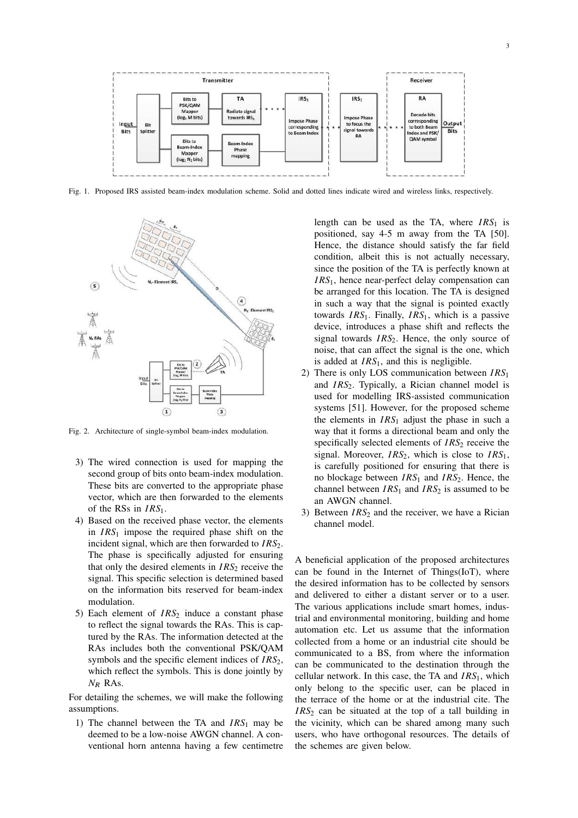

Fig. 1. Proposed IRS assisted beam-index modulation scheme. Solid and dotted lines indicate wired and wireless links, respectively.



Fig. 2. Architecture of single-symbol beam-index modulation.

- 3) The wired connection is used for mapping the second group of bits onto beam-index modulation. These bits are converted to the appropriate phase vector, which are then forwarded to the elements of the RSs in *IRS*1.
- 4) Based on the received phase vector, the elements in *IRS*<sup>1</sup> impose the required phase shift on the incident signal, which are then forwarded to *IRS*<sub>2</sub>. The phase is specifically adjusted for ensuring that only the desired elements in  $IRS_2$  receive the signal. This specific selection is determined based on the information bits reserved for beam-index modulation.
- 5) Each element of  $IRS<sub>2</sub>$  induce a constant phase to reflect the signal towards the RAs. This is captured by the RAs. The information detected at the RAs includes both the conventional PSK/QAM symbols and the specific element indices of *IRS*<sub>2</sub>, which reflect the symbols. This is done jointly by  $N_R$  RAs.

For detailing the schemes, we will make the following assumptions.

1) The channel between the TA and  $IRS<sub>1</sub>$  may be deemed to be a low-noise AWGN channel. A conventional horn antenna having a few centimetre length can be used as the TA, where  $IRS_1$  is positioned, say 4-5 m away from the TA [50]. Hence, the distance should satisfy the far field condition, albeit this is not actually necessary, since the position of the TA is perfectly known at *IRS*1, hence near-perfect delay compensation can be arranged for this location. The TA is designed in such a way that the signal is pointed exactly towards *IRS*1. Finally, *IRS*1, which is a passive device, introduces a phase shift and reflects the signal towards *IRS*<sub>2</sub>. Hence, the only source of noise, that can affect the signal is the one, which is added at *IRS*1, and this is negligible.

- 2) There is only LOS communication between *IRS*<sup>1</sup> and *IRS*2. Typically, a Rician channel model is used for modelling IRS-assisted communication systems [51]. However, for the proposed scheme the elements in  $IRS_1$  adjust the phase in such a way that it forms a directional beam and only the specifically selected elements of *IRS*<sub>2</sub> receive the signal. Moreover, *IRS*2, which is close to *IRS*1, is carefully positioned for ensuring that there is no blockage between *IRS*<sub>1</sub> and *IRS*<sub>2</sub>. Hence, the channel between  $IRS_1$  and  $IRS_2$  is assumed to be an AWGN channel.
- 3) Between *IRS*<sub>2</sub> and the receiver, we have a Rician channel model.

A beneficial application of the proposed architectures can be found in the Internet of Things(IoT), where the desired information has to be collected by sensors and delivered to either a distant server or to a user. The various applications include smart homes, industrial and environmental monitoring, building and home automation etc. Let us assume that the information collected from a home or an industrial cite should be communicated to a BS, from where the information can be communicated to the destination through the cellular network. In this case, the TA and *IRS*1, which only belong to the specific user, can be placed in the terrace of the home or at the industrial cite. The *IRS*<sub>2</sub> can be situated at the top of a tall building in the vicinity, which can be shared among many such users, who have orthogonal resources. The details of the schemes are given below.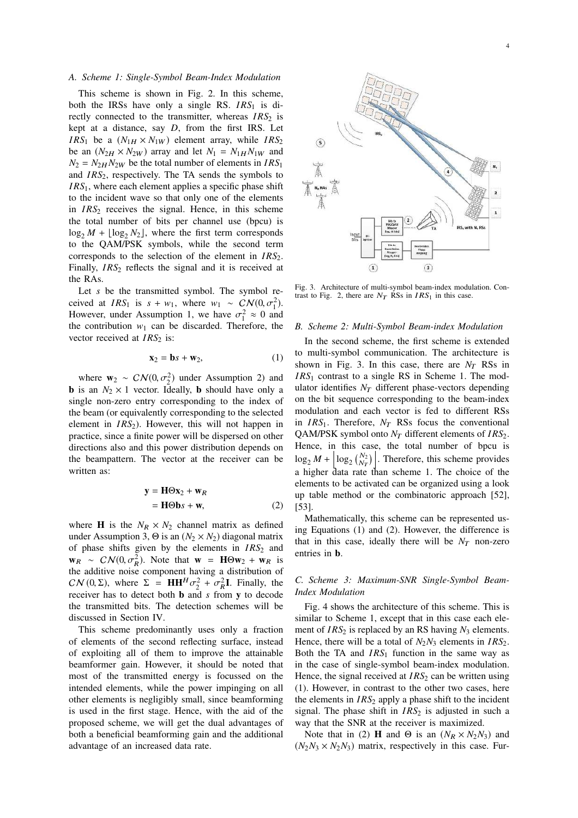## *A. Scheme 1: Single-Symbol Beam-Index Modulation*

This scheme is shown in Fig. 2. In this scheme, both the IRSs have only a single RS.  $IRS<sub>1</sub>$  is directly connected to the transmitter, whereas *IRS*<sup>2</sup> is kept at a distance, say *D*, from the first IRS. Let *IRS*<sub>1</sub> be a  $(N_{1H} \times N_{1W})$  element array, while *IRS*<sub>2</sub> be an  $(N_{2H} \times N_{2W})$  array and let  $N_1 = N_{1H} N_{1W}$  and  $N_2 = N_{2H} N_{2W}$  be the total number of elements in *IRS*<sub>1</sub> and *IRS*2, respectively. The TA sends the symbols to *IRS*1, where each element applies a specific phase shift to the incident wave so that only one of the elements in *IRS*<sup>2</sup> receives the signal. Hence, in this scheme the total number of bits per channel use (bpcu) is  $\log_2 M + |\log_2 N_2|$ , where the first term corresponds to the QAM/PSK symbols, while the second term corresponds to the selection of the element in *IRS*<sub>2</sub>. Finally, *IRS*<sub>2</sub> reflects the signal and it is received at the RAs.

Let *s* be the transmitted symbol. The symbol received at *IRS*<sub>1</sub> is  $s + w_1$ , where  $w_1 \sim \frac{CN(0, \sigma_1^2)}{2}$ . However, under Assumption 1, we have  $\sigma_1^2 \approx 0$  and the contribution  $w_1$  can be discarded. Therefore, the vector received at *IRS*<sup>2</sup> is:

$$
\mathbf{x}_2 = \mathbf{b}s + \mathbf{w}_2, \tag{1}
$$

where  $\mathbf{w}_2 \sim \mathcal{CN}(0, \sigma_2^2)$  under Assumption 2) and **b** is an  $N_2 \times 1$  vector. Ideally, **b** should have only a single non-zero entry corresponding to the index of the beam (or equivalently corresponding to the selected element in *IRS*<sub>2</sub>). However, this will not happen in practice, since a finite power will be dispersed on other directions also and this power distribution depends on the beampattern. The vector at the receiver can be written as:

$$
\mathbf{y} = \mathbf{H}\Theta \mathbf{x}_2 + \mathbf{w}_R
$$
  
=  $\mathbf{H}\Theta \mathbf{b}_S + \mathbf{w},$  (2)

where **H** is the  $N_R \times N_2$  channel matrix as defined under Assumption 3,  $\Theta$  is an  $(N_2 \times N_2)$  diagonal matrix of phase shifts given by the elements in  $IRS<sub>2</sub>$  and  $\mathbf{w}_R \sim \mathcal{CN}(0, \sigma_R^2)$ . Note that  $\mathbf{w} = \mathbf{H}\Theta \mathbf{w}_2 + \mathbf{w}_R$  is the additive noise component having a distribution of  $CN(0, \Sigma)$ , where  $\Sigma = \mathbf{H} \mathbf{H}^H \sigma_2^2 + \sigma_R^2 \mathbf{I}$ . Finally, the receiver has to detect both **b** and *s* from **y** to decode the transmitted bits. The detection schemes will be discussed in Section IV.

This scheme predominantly uses only a fraction of elements of the second reflecting surface, instead of exploiting all of them to improve the attainable beamformer gain. However, it should be noted that most of the transmitted energy is focussed on the intended elements, while the power impinging on all other elements is negligibly small, since beamforming is used in the first stage. Hence, with the aid of the proposed scheme, we will get the dual advantages of both a beneficial beamforming gain and the additional advantage of an increased data rate.



Fig. 3. Architecture of multi-symbol beam-index modulation. Contrast to Fig. 2, there are  $N_T$  RSs in  $IRS_1$  in this case.

# *B. Scheme 2: Multi-Symbol Beam-index Modulation*

In the second scheme, the first scheme is extended to multi-symbol communication. The architecture is shown in Fig. 3. In this case, there are  $N_T$  RSs in *IRS*<sup>1</sup> contrast to a single RS in Scheme 1. The modulator identifies  $N_T$  different phase-vectors depending on the bit sequence corresponding to the beam-index modulation and each vector is fed to different RSs in  $IRS<sub>1</sub>$ . Therefore,  $N<sub>T</sub>$  RSs focus the conventional QAM/PSK symbol onto  $N_T$  different elements of  $IRS_2$ . Hence, in this case, the total number of bpcu is  $\log_2 M + \log_2 \left( \frac{N_2}{N_T} \right)$ . Therefore, this scheme provides a higher data rate than scheme 1. The choice of the elements to be activated can be organized using a look up table method or the combinatoric approach [52], [53].

Mathematically, this scheme can be represented using Equations (1) and (2). However, the difference is that in this case, ideally there will be  $N_T$  non-zero entries in **b**.

# *C. Scheme 3: Maximum-SNR Single-Symbol Beam-Index Modulation*

Fig. 4 shows the architecture of this scheme. This is similar to Scheme 1, except that in this case each element of  $IRS_2$  is replaced by an RS having  $N_3$  elements. Hence, there will be a total of  $N_2N_3$  elements in  $IRS_2$ . Both the TA and  $IRS<sub>1</sub>$  function in the same way as in the case of single-symbol beam-index modulation. Hence, the signal received at *IRS*<sub>2</sub> can be written using (1). However, in contrast to the other two cases, here the elements in  $IRS<sub>2</sub>$  apply a phase shift to the incident signal. The phase shift in  $IRS<sub>2</sub>$  is adjusted in such a way that the SNR at the receiver is maximized.

Note that in (2) **H** and  $\Theta$  is an  $(N_R \times N_2N_3)$  and  $(N_2N_3 \times N_2N_3)$  matrix, respectively in this case. Fur-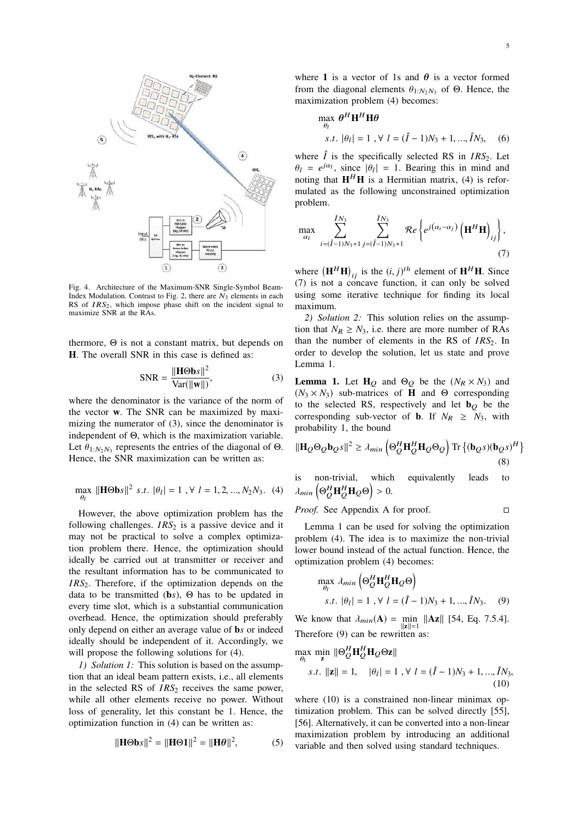

Fig. 4. Architecture of the Maximum-SNR Single-Symbol Beam-Index Modulation. Contrast to Fig. 2, there are  $N_3$  elements in each RS of  $IRS_2$ , which impose phase shift on the incident signal to maximize SNR at the RAs.

thermore, Θ is not a constant matrix, but depends on **H**. The overall SNR in this case is defined as:

$$
SNR = \frac{\|\mathbf{H}\Theta\mathbf{b}s\|^2}{\text{Var}(\|\mathbf{w}\|)},\tag{3}
$$

where the denominator is the variance of the norm of the vector **w**. The SNR can be maximized by maximizing the numerator of (3), since the denominator is independent of Θ, which is the maximization variable. Let  $\theta_{1:N_2N_3}$  represents the entries of the diagonal of  $\Theta$ . Hence, the SNR maximization can be written as:

$$
\max_{\theta_l} \|\mathbf{H} \Theta \mathbf{b} s\|^2 \ s.t. \ |\theta_l| = 1 \ , \forall \ l = 1, 2, ..., N_2 N_3. \tag{4}
$$

However, the above optimization problem has the following challenges. *IRS*<sub>2</sub> is a passive device and it may not be practical to solve a complex optimization problem there. Hence, the optimization should ideally be carried out at transmitter or receiver and the resultant information has to be communicated to *IRS*2. Therefore, if the optimization depends on the data to be transmitted (**b***s*), Θ has to be updated in every time slot, which is a substantial communication overhead. Hence, the optimization should preferably only depend on either an average value of **b***s* or indeed ideally should be independent of it. Accordingly, we will propose the following solutions for (4).

*1) Solution 1:* This solution is based on the assumption that an ideal beam pattern exists, i.e., all elements in the selected RS of *IRS*<sub>2</sub> receives the same power, while all other elements receive no power. Without loss of generality, let this constant be 1. Hence, the optimization function in (4) can be written as:

$$
\|\mathbf{H}\Theta \mathbf{b}s\|^2 = \|\mathbf{H}\Theta \mathbf{1}\|^2 = \|\mathbf{H}\theta\|^2, \tag{5}
$$

where 1 is a vector of 1s and  $\theta$  is a vector formed from the diagonal elements  $\theta_{1:N_2N_3}$  of  $\Theta$ . Hence, the maximization problem (4) becomes:

$$
\max_{\theta_l} \theta^H \mathbf{H}^H \mathbf{H} \theta
$$
  
s.t.  $|\theta_l| = 1$ ,  $\forall l = (\hat{I} - 1)N_3 + 1, ..., \hat{I}N_3$ , (6)

where  $\hat{I}$  is the specifically selected RS in  $IRS_2$ . Let  $\theta_l = e^{j\alpha_l}$ , since  $|\theta_l| = 1$ . Bearing this in mind and noting that  $H<sup>H</sup>H$  is a Hermitian matrix, (4) is reformulated as the following unconstrained optimization problem.

$$
\max_{\alpha_l} \sum_{i=(\hat{I}-1)N_3+1}^{IN_3} \sum_{j=(\hat{I}-1)N_3+1}^{IN_3} \mathcal{R}e \left\{ e^{j(\alpha_i-\alpha_j)} \left(\mathbf{H}^H \mathbf{H} \right)_{ij} \right\},\tag{7}
$$

where  $(\mathbf{H}^H \mathbf{H})_{ij}$  is the  $(i, j)^{th}$  element of  $\mathbf{H}^H \mathbf{H}$ . Since (7) is not a concave function, it can only be solved using some iterative technique for finding its local maximum.

*2) Solution 2:* This solution relies on the assumption that  $N_R \geq N_3$ , i.e. there are more number of RAs than the number of elements in the RS of *IRS*<sub>2</sub>. In order to develop the solution, let us state and prove Lemma 1.

**Lemma 1.** Let  $H_Q$  and  $\Theta_Q$  be the  $(N_R \times N_3)$  and  $(N_3 \times N_3)$  sub-matrices of **H** and Θ corresponding to the selected RS, respectively and let  $\mathbf{b}_O$  be the corresponding sub-vector of **b**. If  $N_R \geq N_3$ , with probability 1, the bound

$$
\|\mathbf{H}_{Q}\Theta_{Q}\mathbf{b}_{Q}s\|^{2} \geq \lambda_{min}\left(\Theta_{Q}^{H}\mathbf{H}_{Q}^{H}\mathbf{H}_{Q}\Theta_{Q}\right) \text{Tr}\left\{(\mathbf{b}_{Q}s)(\mathbf{b}_{Q}s)^{H}\right\}
$$
\n(8)

non-trivial, which equivalently leads to  $\lambda_{min} \left( \Theta_Q^H \mathbf{H}_Q^H \mathbf{H}_Q \Theta \right) > 0.$ 

*Proof.* See Appendix A for proof. □

Lemma 1 can be used for solving the optimization problem (4). The idea is to maximize the non-trivial lower bound instead of the actual function. Hence, the optimization problem (4) becomes:

$$
\max_{\theta_l} \lambda_{min} \left( \Theta_Q^H \mathbf{H}_Q^H \mathbf{H}_Q \Theta \right)
$$
  
s.t.  $|\theta_l| = 1$ ,  $\forall l = (\hat{I} - 1)N_3 + 1, ..., \hat{I}N_3$ . (9)

We know that  $\lambda_{min}(\mathbf{A}) = \min_{\|\mathbf{z}\|=1} \|\mathbf{A}\mathbf{z}\|$  [54, Eq. 7.5.4]. Therefore (9) can be rewritten as:

$$
\max_{\theta_l} \min_{\mathbf{z}} \|\Theta_{Q}^{H} \mathbf{H}_{Q}^{H} \Theta \mathbf{z}\|
$$
  
s.t.  $\|\mathbf{z}\| = 1$ ,  $|\theta_l| = 1$ ,  $\forall l = (\hat{I} - 1)N_3 + 1, ..., \hat{I}N_3$ , (10)

where (10) is a constrained non-linear minimax optimization problem. This can be solved directly [55], [56]. Alternatively, it can be converted into a non-linear maximization problem by introducing an additional variable and then solved using standard techniques.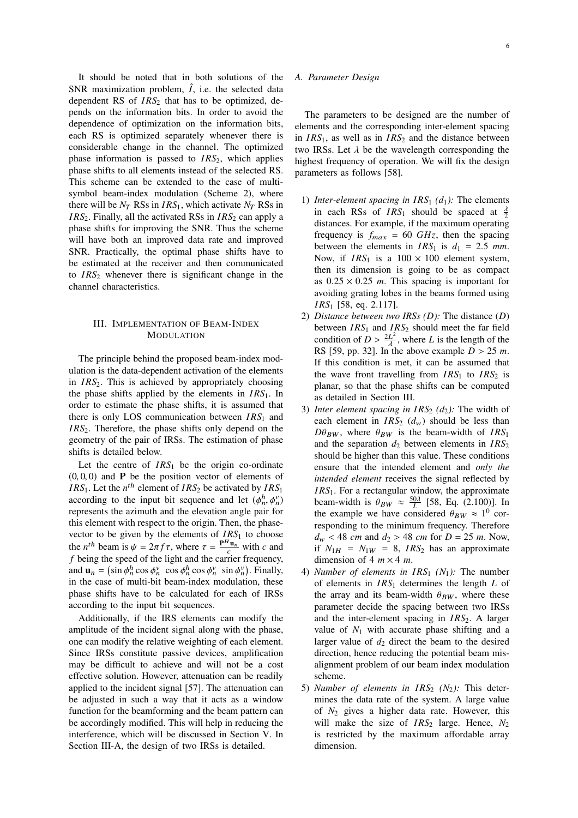It should be noted that in both solutions of the SNR maximization problem,  $\hat{I}$ , i.e. the selected data dependent RS of *IRS*<sub>2</sub> that has to be optimized, depends on the information bits. In order to avoid the dependence of optimization on the information bits, each RS is optimized separately whenever there is considerable change in the channel. The optimized phase information is passed to *IRS*<sub>2</sub>, which applies phase shifts to all elements instead of the selected RS. This scheme can be extended to the case of multisymbol beam-index modulation (Scheme 2), where there will be  $N_T$  RSs in  $IRS_1$ , which activate  $N_T$  RSs in *IRS*<sub>2</sub>. Finally, all the activated RSs in *IRS*<sub>2</sub> can apply a phase shifts for improving the SNR. Thus the scheme will have both an improved data rate and improved SNR. Practically, the optimal phase shifts have to be estimated at the receiver and then communicated to *IRS*<sub>2</sub> whenever there is significant change in the channel characteristics.

# III. IMPLEMENTATION OF BEAM-INDEX MODULATION

The principle behind the proposed beam-index modulation is the data-dependent activation of the elements in *IRS*<sub>2</sub>. This is achieved by appropriately choosing the phase shifts applied by the elements in *IRS*1. In order to estimate the phase shifts, it is assumed that there is only LOS communication between *IRS*<sup>1</sup> and *IRS*2. Therefore, the phase shifts only depend on the geometry of the pair of IRSs. The estimation of phase shifts is detailed below.

Let the centre of  $IRS_1$  be the origin co-ordinate (0, 0, 0) and **P** be the position vector of elements of *IRS*<sub>1</sub>. Let the  $n^{th}$  element of *IRS*<sub>2</sub> be activated by *IRS*<sub>1</sub> according to the input bit sequence and let  $(\phi_n^h, \phi_n^v)$ represents the azimuth and the elevation angle pair for this element with respect to the origin. Then, the phasevector to be given by the elements of  $IRS<sub>1</sub>$  to choose the *n*<sup>th</sup> beam is  $\psi = 2\pi f \tau$ , where  $\tau = \frac{P^H u_n}{c}$  with *c* and  $f$  being the speed of the light and the carrier frequency, and  $\mathbf{u}_n = (\sin \phi_n^h \cos \phi_n^v \cos \phi_n^h \cos \phi_n^v \sin \phi_n^v)$ . Finally, in the case of multi-bit beam-index modulation, these phase shifts have to be calculated for each of IRSs according to the input bit sequences.

Additionally, if the IRS elements can modify the amplitude of the incident signal along with the phase, one can modify the relative weighting of each element. Since IRSs constitute passive devices, amplification may be difficult to achieve and will not be a cost effective solution. However, attenuation can be readily applied to the incident signal [57]. The attenuation can be adjusted in such a way that it acts as a window function for the beamforming and the beam pattern can be accordingly modified. This will help in reducing the interference, which will be discussed in Section V. In Section III-A, the design of two IRSs is detailed.

# *A. Parameter Design*

The parameters to be designed are the number of elements and the corresponding inter-element spacing in  $IRS<sub>1</sub>$ , as well as in  $IRS<sub>2</sub>$  and the distance between two IRSs. Let  $\lambda$  be the wavelength corresponding the highest frequency of operation. We will fix the design parameters as follows [58].

- 1) *Inter-element spacing in*  $IRS_1$   $(d_1)$ : The elements in each RSs of  $IRS_1$  should be spaced at  $\frac{\lambda}{2}$ distances. For example, if the maximum operating frequency is  $f_{max} = 60$  *GHz*, then the spacing between the elements in  $IRS_1$  is  $d_1 = 2.5$  mm. Now, if  $IRS_1$  is a  $100 \times 100$  element system, then its dimension is going to be as compact as  $0.25 \times 0.25$  *m*. This spacing is important for avoiding grating lobes in the beams formed using *IRS*<sup>1</sup> [58, eq. 2.117].
- 2) *Distance between two IRSs (D):* The distance (*D*) between  $IRS_1$  and  $IRS_2$  should meet the far field condition of  $D > \frac{2L^2}{\lambda}$  $\frac{L^2}{\lambda}$ , where *L* is the length of the RS [59, pp. 32]. In the above example  $D > 25$  m. If this condition is met, it can be assumed that the wave front travelling from  $IRS_1$  to  $IRS_2$  is planar, so that the phase shifts can be computed as detailed in Section III.
- 3) *Inter element spacing in*  $IRS_2$  *(d<sub>2</sub>): The width of* each element in  $IRS_2$  ( $d_w$ ) should be less than  $D\theta_{BW}$ , where  $\theta_{BW}$  is the beam-width of *IRS*<sub>1</sub> and the separation  $d_2$  between elements in *IRS*<sup>2</sup> should be higher than this value. These conditions ensure that the intended element and *only the intended element* receives the signal reflected by *IRS*1. For a rectangular window, the approximate beam-width is  $\theta_{BW} \approx \frac{50\lambda}{L}$  [58, Eq. (2.100)]. In the example we have considered  $\theta_{BW} \approx 1^0$  corresponding to the minimum frequency. Therefore  $d_w$  < 48 *cm* and  $d_2$  > 48 *cm* for *D* = 25 *m*. Now, if  $N_{1H} = N_{1W} = 8$ , *IRS*<sub>2</sub> has an approximate dimension of 4  $m \times 4$  *m*.
- 4) *Number of elements in*  $IRS_1 (N_1)$ *: The number* of elements in *IRS*<sup>1</sup> determines the length *L* of the array and its beam-width  $\theta_{BW}$ , where these parameter decide the spacing between two IRSs and the inter-element spacing in *IRS*<sub>2</sub>. A larger value of  $N_1$  with accurate phase shifting and a larger value of  $d_2$  direct the beam to the desired direction, hence reducing the potential beam misalignment problem of our beam index modulation scheme.
- 5) *Number of elements in*  $IRS_2$  *(N<sub>2</sub>): This deter*mines the data rate of the system. A large value of *N*<sup>2</sup> gives a higher data rate. However, this will make the size of  $IRS_2$  large. Hence,  $N_2$ is restricted by the maximum affordable array dimension.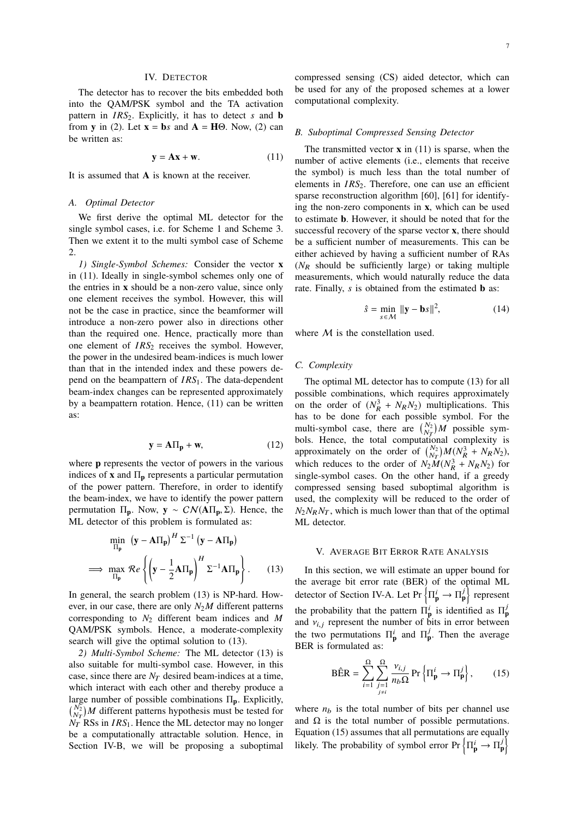### IV. DETECTOR

The detector has to recover the bits embedded both into the QAM/PSK symbol and the TA activation pattern in  $IRS_2$ . Explicitly, it has to detect *s* and **b** from **y** in (2). Let  $\mathbf{x} = \mathbf{b}$ *s* and  $\mathbf{A} = \mathbf{H}\Theta$ . Now, (2) can be written as:

$$
y = Ax + w.
$$
 (11)

It is assumed that **A** is known at the receiver.

#### *A. Optimal Detector*

We first derive the optimal ML detector for the single symbol cases, i.e. for Scheme 1 and Scheme 3. Then we extent it to the multi symbol case of Scheme  $\mathcal{L}$ 

*1) Single-Symbol Schemes:* Consider the vector **x** in (11). Ideally in single-symbol schemes only one of the entries in **x** should be a non-zero value, since only one element receives the symbol. However, this will not be the case in practice, since the beamformer will introduce a non-zero power also in directions other than the required one. Hence, practically more than one element of *IRS*<sub>2</sub> receives the symbol. However, the power in the undesired beam-indices is much lower than that in the intended index and these powers depend on the beampattern of *IRS*1. The data-dependent beam-index changes can be represented approximately by a beampattern rotation. Hence, (11) can be written as:

$$
y = A\Pi_p + w,\tag{12}
$$

where **p** represents the vector of powers in the various indices of  $\bf{x}$  and  $\Pi_{\bf{p}}$  represents a particular permutation of the power pattern. Therefore, in order to identify the beam-index, we have to identify the power pattern permutation <sup>Π</sup>**p**. Now, **<sup>y</sup>** ∼ CN (**A**Π**p**, <sup>Σ</sup>). Hence, the ML detector of this problem is formulated as:

$$
\min_{\Pi_{\mathbf{p}}} \left( \mathbf{y} - \mathbf{A} \Pi_{\mathbf{p}} \right)^{H} \Sigma^{-1} \left( \mathbf{y} - \mathbf{A} \Pi_{\mathbf{p}} \right)
$$
\n
$$
\implies \max_{\Pi_{\mathbf{p}}} \mathcal{R}e \left\{ \left( \mathbf{y} - \frac{1}{2} \mathbf{A} \Pi_{\mathbf{p}} \right)^{H} \Sigma^{-1} \mathbf{A} \Pi_{\mathbf{p}} \right\}. \tag{13}
$$

In general, the search problem (13) is NP-hard. However, in our case, there are only  $N_2M$  different patterns corresponding to *N*<sup>2</sup> different beam indices and *M* QAM/PSK symbols. Hence, a moderate-complexity search will give the optimal solution to (13).

*2) Multi-Symbol Scheme:* The ML detector (13) is also suitable for multi-symbol case. However, in this case, since there are  $N_T$  desired beam-indices at a time, which interact with each other and thereby produce a large number of possible combinations Π**p**. Explicitly,  $\binom{N_2}{N_T}$  *M* different patterns hypothesis must be tested for  $N_T$  RSs in *IRS*<sub>1</sub>. Hence the ML detector may no longer be a computationally attractable solution. Hence, in Section IV-B, we will be proposing a suboptimal compressed sensing (CS) aided detector, which can be used for any of the proposed schemes at a lower computational complexity.

#### *B. Suboptimal Compressed Sensing Detector*

The transmitted vector  $\bf{x}$  in (11) is sparse, when the number of active elements (i.e., elements that receive the symbol) is much less than the total number of elements in *IRS*<sub>2</sub>. Therefore, one can use an efficient sparse reconstruction algorithm [60], [61] for identifying the non-zero components in **x**, which can be used to estimate **b**. However, it should be noted that for the successful recovery of the sparse vector **x**, there should be a sufficient number of measurements. This can be either achieved by having a sufficient number of RAs  $(N_R)$  should be sufficiently large) or taking multiple measurements, which would naturally reduce the data rate. Finally, *s* is obtained from the estimated **b** as:

$$
\hat{s} = \min_{s \in \mathcal{M}} \|\mathbf{y} - \mathbf{b}s\|^2, \tag{14}
$$

where  $M$  is the constellation used.

# *C. Complexity*

The optimal ML detector has to compute (13) for all possible combinations, which requires approximately on the order of  $(N_R^3 + N_R N_2)$  multiplications. This has to be done for each possible symbol. For the multi-symbol case, there are  $\binom{N_2}{N_T}M$  possible symbols. Hence, the total computational complexity is approximately on the order of  $\binom{N_2}{N_T}M\binom{N_3}{R} + N_RN_2$ , which reduces to the order of  $N_2M(N_R^3 + N_RN_2)$  for single-symbol cases. On the other hand, if a greedy compressed sensing based suboptimal algorithm is used, the complexity will be reduced to the order of  $N_2N_RN_T$ , which is much lower than that of the optimal ML detector.

#### V. AVERAGE BIT ERROR RATE ANALYSIS

In this section, we will estimate an upper bound for the average bit error rate (BER) of the optimal ML detector of Section IV-A. Let Pr  $\left\{\Pi_{\mathbf{p}}^{i} \rightarrow \Pi_{\mathbf{p}}^{j}\right\}$  $\}$  represent the probability that the pattern  $\Pi_{\bf p}^i$  is identified as  $\Pi_{\bf p}^j$ and  $v_{i,j}$  represent the number of bits in error between the two permutations  $\Pi_{\mathbf{p}}^i$  and  $\Pi_{\mathbf{p}}^j$ . Then the average BER is formulated as:

$$
\widehat{\text{BER}} = \sum_{i=1}^{\Omega} \sum_{\substack{j=1 \ j \neq i}}^{\Omega} \frac{\nu_{i,j}}{n_b \Omega} \Pr\left\{ \Pi_{\mathbf{p}}^i \to \Pi_{\mathbf{p}}^j \right\},\qquad(15)
$$

where  $n_b$  is the total number of bits per channel use and  $\Omega$  is the total number of possible permutations. Equation (15) assumes that all permutations are equally likely. The probability of symbol error  $Pr\left\{\Pi_{\mathbf{p}}^{i} \to \Pi_{\mathbf{p}}^{i}\right\}$ o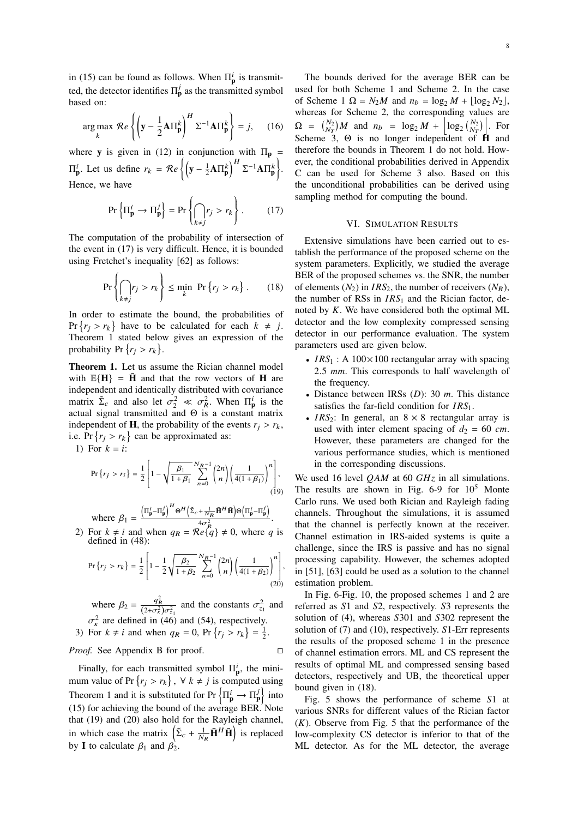in (15) can be found as follows. When  $\Pi_{\bf p}^i$  is transmitted, the detector identifies  $\Pi_{\bf p}^j$  as the transmitted symbol based on:

$$
\underset{k}{\arg\max} \ \mathcal{R}e\left\{ \left(\mathbf{y} - \frac{1}{2}\mathbf{A}\Pi_{\mathbf{p}}^{k}\right)^{H} \Sigma^{-1}\mathbf{A}\Pi_{\mathbf{p}}^{k}\right\} = j, \quad (16)
$$

where **y** is given in (12) in conjunction with  $\Pi_p$  =  $\Pi_{\mathbf{p}}^{i}$ . Let us define  $r_k = \mathcal{R}e$  $\mathbf{y} - \frac{1}{2}\mathbf{A}\Pi_{\mathbf{p}}^{k}$  $\Big)^H$  Σ $^{-1}$ ΑΠ $_p^k$  $\overline{1}$ . Hence, we have

$$
\Pr\left\{\Pi_{\mathbf{p}}^i \to \Pi_{\mathbf{p}}^j\right\} = \Pr\left\{\bigcap_{k \neq j} r_j > r_k\right\}.
$$
 (17)

The computation of the probability of intersection of the event in (17) is very difficult. Hence, it is bounded using Fretchet's inequality [62] as follows:

$$
\Pr\left\{\bigcap_{k\neq j} r_j > r_k\right\} \le \min_k \ \Pr\left\{r_j > r_k\right\}.\tag{18}
$$

In order to estimate the bound, the probabilities of  $Pr\{r_j > r_k\}$  have to be calculated for each  $k \neq j$ . Theorem 1 stated below gives an expression of the probability  $Pr\{r_j > r_k\}.$ 

Theorem 1. Let us assume the Rician channel model with  $\mathbb{E}\{\mathbf{H}\} = \mathbf{\bar{H}}$  and that the row vectors of **H** are independent and identically distributed with covariance matrix  $\tilde{\Sigma}_c$  and also let  $\sigma_2^2 \ll \sigma_R^2$ . When  $\Pi_{\mathbf{p}}^i$  is the actual signal transmitted and  $\Theta$  is a constant matrix independent of **H**, the probability of the events  $r_i > r_k$ , i.e. Pr  $\{r_j > r_k\}$  can be approximated as:

1) For  $k = i$ :

$$
\Pr\left\{r_j > r_i\right\} = \frac{1}{2} \left[1 - \sqrt{\frac{\beta_1}{1 + \beta_1}} \sum_{n=0}^{N_R - 1} {2n \choose n} \left(\frac{1}{4(1 + \beta_1)}\right)^n \right],\tag{19}
$$

where  $\beta_1$  =  $\left(\Pi^i_{\bf p} - \Pi^j_{\bf p}\right)^H \Theta^H \Bigl( \tilde{\Sigma}_c + \frac{1}{N_R}\bar{\bf H}^H\bar{\bf H} \Bigr) \Theta \Bigl( \Pi^i_{\bf p} - \Pi^j_{\bf p} \Bigr)$  $\frac{N_R}{4\sigma_R^2}$ .

2) For  $k \neq i$  and when  $q_R = \mathcal{R}e^k\{q\} \neq 0$ , where *q* is defined in (48):

$$
\Pr\left\{r_j > r_k\right\} = \frac{1}{2} \left[1 - \frac{1}{2} \sqrt{\frac{\beta_2}{1 + \beta_2}} \sum_{n=0}^{N_R-1} {2n \choose n} \left(\frac{1}{4(1 + \beta_2)}\right)^n \right],\tag{20}
$$

where  $\beta_2 = \frac{q_R^2}{(2+\sigma_{\kappa}^2)\sigma_{z_1}^2}$  and the constants  $\sigma_{z_1}^2$  and  $\sigma_{\kappa}^2$  are defined in (46) and (54), respectively. 3) For  $k \neq i$  and when  $q_R = 0$ ,  $Pr{\{r_j > r_k\}} = \frac{1}{2}$ .

*Proof.* See Appendix B for proof. □

Finally, for each transmitted symbol  $\Pi_{\bf p}^i$ , the minimum value of Pr  $\{r_j > r_k\}$ ,  $\forall k \neq j$  is computed using Theorem 1 and it is substituted for Pr  $\left\{\Pi_{\mathbf{p}}^{i} \to \Pi_{\mathbf{p}}^{j}\right\}$  $\}$  into  $(15)$  for achieving the bound of the average BER. Note that (19) and (20) also hold for the Rayleigh channel, in which case the matrix  $\left(\tilde{\Sigma}_c + \frac{1}{N_R} \tilde{\mathbf{H}}^H \tilde{\mathbf{H}}\right)$  is replaced by **I** to calculate  $\beta_1$  and  $\beta_2$ .

The bounds derived for the average BER can be used for both Scheme 1 and Scheme 2. In the case of Scheme 1  $\Omega = N_2M$  and  $n_b = \log_2 M + \lfloor \log_2 N_2 \rfloor$ , whereas for Scheme 2, the corresponding values are  $\Omega = {N_2 \choose N_T}M$  and  $n_b = \log_2 M + \left| \log_2 {N_2 \choose N_T} \right|$ . For Scheme 3, Θ is no longer independent of **H** and therefore the bounds in Theorem 1 do not hold. However, the conditional probabilities derived in Appendix C can be used for Scheme 3 also. Based on this the unconditional probabilities can be derived using sampling method for computing the bound.

#### VI. SIMULATION RESULTS

Extensive simulations have been carried out to establish the performance of the proposed scheme on the system parameters. Explicitly, we studied the average BER of the proposed schemes vs. the SNR, the number of elements  $(N_2)$  in *IRS*<sub>2</sub>, the number of receivers  $(N_R)$ , the number of RSs in  $IRS<sub>1</sub>$  and the Rician factor, denoted by *K*. We have considered both the optimal ML detector and the low complexity compressed sensing detector in our performance evaluation. The system parameters used are given below.

- $IRS_1$ : A  $100 \times 100$  rectangular array with spacing 2.5 *mm*. This corresponds to half wavelength of the frequency.
- Distance between IRSs (*D*): 30 *m*. This distance satisfies the far-field condition for *IRS*1.
- $IRS_2$ : In general, an  $8 \times 8$  rectangular array is used with inter element spacing of  $d_2 = 60$  *cm*. However, these parameters are changed for the various performance studies, which is mentioned in the corresponding discussions.

We used 16 level *QAM* at 60 *GHz* in all simulations. The results are shown in Fig.  $6-9$  for  $10^5$  Monte Carlo runs. We used both Rician and Rayleigh fading channels. Throughout the simulations, it is assumed that the channel is perfectly known at the receiver. Channel estimation in IRS-aided systems is quite a challenge, since the IRS is passive and has no signal processing capability. However, the schemes adopted in [51], [63] could be used as a solution to the channel estimation problem.

In Fig. 6-Fig. 10, the proposed schemes 1 and 2 are referred as *S*1 and *S*2, respectively. *S*3 represents the solution of (4), whereas *S*301 and *S*302 represent the solution of (7) and (10), respectively. *S*1-Err represents the results of the proposed scheme 1 in the presence of channel estimation errors. ML and CS represent the results of optimal ML and compressed sensing based detectors, respectively and UB, the theoretical upper bound given in (18).

Fig. 5 shows the performance of scheme *S*1 at various SNRs for different values of the Rician factor  $(K)$ . Observe from Fig. 5 that the performance of the low-complexity CS detector is inferior to that of the ML detector. As for the ML detector, the average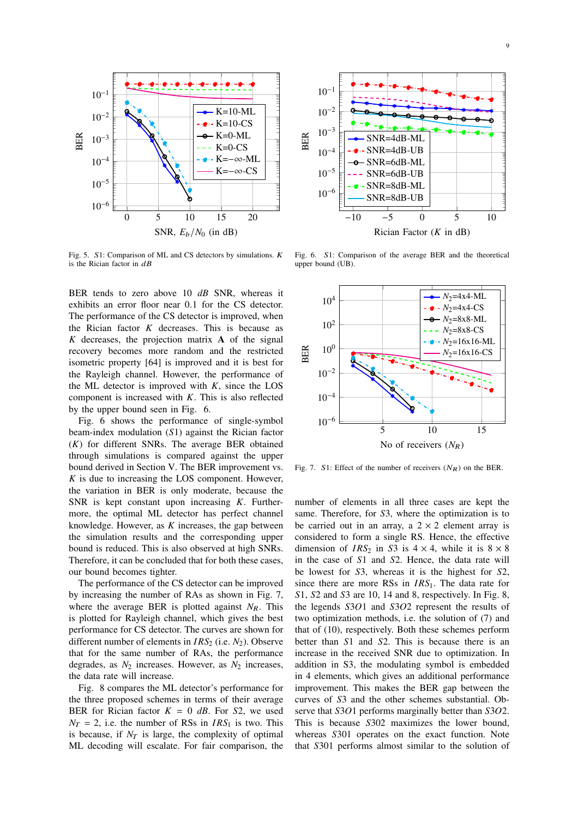

Fig. 5. S1: Comparison of ML and CS detectors by simulations.  $K$ is the Rician factor in  $dB$ 

BER tends to zero above 10 *dB* SNR, whereas it exhibits an error floor near 0.1 for the CS detector. The performance of the CS detector is improved, when the Rician factor *K* decreases. This is because as *K* decreases, the projection matrix **A** of the signal recovery becomes more random and the restricted isometric property [64] is improved and it is best for the Rayleigh channel. However, the performance of the ML detector is improved with *K*, since the LOS component is increased with *K*. This is also reflected by the upper bound seen in Fig. 6.

Fig. 6 shows the performance of single-symbol beam-index modulation (*S*1) against the Rician factor (*K*) for different SNRs. The average BER obtained through simulations is compared against the upper bound derived in Section V. The BER improvement vs. *K* is due to increasing the LOS component. However, the variation in BER is only moderate, because the SNR is kept constant upon increasing *K*. Furthermore, the optimal ML detector has perfect channel knowledge. However, as *K* increases, the gap between the simulation results and the corresponding upper bound is reduced. This is also observed at high SNRs. Therefore, it can be concluded that for both these cases, our bound becomes tighter.

The performance of the CS detector can be improved by increasing the number of RAs as shown in Fig. 7, where the average BER is plotted against  $N_R$ . This is plotted for Rayleigh channel, which gives the best performance for CS detector. The curves are shown for different number of elements in *IRS*<sub>2</sub> (i.e. *N*<sub>2</sub>). Observe that for the same number of RAs, the performance degrades, as  $N_2$  increases. However, as  $N_2$  increases, the data rate will increase.

Fig. 8 compares the ML detector's performance for the three proposed schemes in terms of their average BER for Rician factor  $K = 0$  *dB*. For *S*2, we used  $N_T = 2$ , i.e. the number of RSs in *IRS*<sub>1</sub> is two. This is because, if  $N_T$  is large, the complexity of optimal ML decoding will escalate. For fair comparison, the



Fig. 6. S1: Comparison of the average BER and the theoretical upper bound (UB).



Fig. 7. S1: Effect of the number of receivers  $(N_R)$  on the BER.

number of elements in all three cases are kept the same. Therefore, for *S*3, where the optimization is to be carried out in an array, a  $2 \times 2$  element array is considered to form a single RS. Hence, the effective dimension of  $IRS_2$  in  $S3$  is  $4 \times 4$ , while it is  $8 \times 8$ in the case of *S*1 and *S*2. Hence, the data rate will be lowest for *S*3, whereas it is the highest for *S*2, since there are more RSs in *IRS*1. The data rate for *S*1, *S*2 and *S*3 are 10, 14 and 8, respectively. In Fig. 8, the legends *S*3*O*1 and *S*3*O*2 represent the results of two optimization methods, i.e. the solution of (7) and that of (10), respectively. Both these schemes perform better than *S*1 and *S*2. This is because there is an increase in the received SNR due to optimization. In addition in S3, the modulating symbol is embedded in 4 elements, which gives an additional performance improvement. This makes the BER gap between the curves of *S*3 and the other schemes substantial. Observe that *S*3*O*1 performs marginally better than *S*3*O*2. This is because *S*302 maximizes the lower bound, whereas *S*301 operates on the exact function. Note that *S*301 performs almost similar to the solution of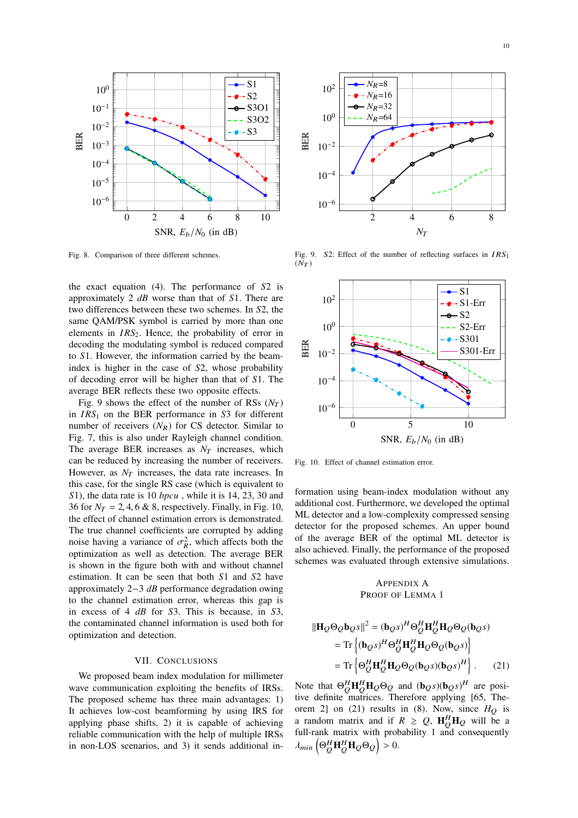

Fig. 8. Comparison of three different schemes.

the exact equation (4). The performance of *S*2 is approximately 2 *dB* worse than that of *S*1. There are two differences between these two schemes. In *S*2, the same QAM/PSK symbol is carried by more than one elements in *IRS*<sub>2</sub>. Hence, the probability of error in decoding the modulating symbol is reduced compared to *S*1. However, the information carried by the beamindex is higher in the case of *S*2, whose probability of decoding error will be higher than that of *S*1. The average BER reflects these two opposite effects.

Fig. 9 shows the effect of the number of RSs  $(N_T)$ in *IRS*<sup>1</sup> on the BER performance in *S*3 for different number of receivers  $(N_R)$  for CS detector. Similar to Fig. 7, this is also under Rayleigh channel condition. The average BER increases as  $N<sub>T</sub>$  increases, which can be reduced by increasing the number of receivers. However, as  $N_T$  increases, the data rate increases. In this case, for the single RS case (which is equivalent to *S*1), the data rate is 10 *bpcu* , while it is 14, 23, 30 and 36 for  $N_T = 2, 4, 6 \& 8$ , respectively. Finally, in Fig. 10, the effect of channel estimation errors is demonstrated. The true channel coefficients are corrupted by adding noise having a variance of  $\sigma_R^2$ , which affects both the optimization as well as detection. The average BER is shown in the figure both with and without channel estimation. It can be seen that both *S*1 and *S*2 have approximately 2−3 *dB* performance degradation owing to the channel estimation error, whereas this gap is in excess of 4 *dB* for *S*3. This is because, in *S*3, the contaminated channel information is used both for optimization and detection.

## VII. CONCLUSIONS

We proposed beam index modulation for millimeter wave communication exploiting the benefits of IRSs. The proposed scheme has three main advantages: 1) It achieves low-cost beamforming by using IRS for applying phase shifts, 2) it is capable of achieving reliable communication with the help of multiple IRSs in non-LOS scenarios, and 3) it sends additional in-



Fig. 9. S2: Effect of the number of reflecting surfaces in  $IRS_1$  $(N_T)$ 



Fig. 10. Effect of channel estimation error.

formation using beam-index modulation without any additional cost. Furthermore, we developed the optimal ML detector and a low-complexity compressed sensing detector for the proposed schemes. An upper bound of the average BER of the optimal ML detector is also achieved. Finally, the performance of the proposed schemes was evaluated through extensive simulations.

# APPENDIX A PROOF OF LEMMA 1

$$
\|\mathbf{H}_{Q}\Theta_{Q}\mathbf{b}_{Q}s\|^{2} = (\mathbf{b}_{Q}s)^{H}\Theta_{Q}^{H}\mathbf{H}_{Q}^{H}\mathbf{H}_{Q}\Theta_{Q}(\mathbf{b}_{Q}s)
$$
  
\n
$$
= \text{Tr}\left\{(\mathbf{b}_{Q}s)^{H}\Theta_{Q}^{H}\mathbf{H}_{Q}^{H}\mathbf{H}_{Q}\Theta_{Q}(\mathbf{b}_{Q}s)\right\}
$$
  
\n
$$
= \text{Tr}\left\{\Theta_{Q}^{H}\mathbf{H}_{Q}^{H}\mathbf{H}_{Q}\Theta_{Q}(\mathbf{b}_{Q}s)(\mathbf{b}_{Q}s)^{H}\right\}. (21)
$$

Note that  $\Theta_{Q}^{H} \mathbf{H}_{Q}^{H} \mathbf{H}_{Q} \Theta_{Q}$  and  $(\mathbf{b}_{Q} s)(\mathbf{b}_{Q} s)^{H}$  are positive definite matrices. Therefore applying [65, Theorem 2] on (21) results in (8). Now, since  $H_Q$  is a random matrix and if  $R \geq Q$ ,  $H_Q^H H_Q$  will be a full-rank matrix with probability  $1$  and consequently  $\lambda_{min} \left( \Theta_Q^H \mathbf{H}_Q^H \mathbf{H}_Q \Theta_Q \right) > 0.$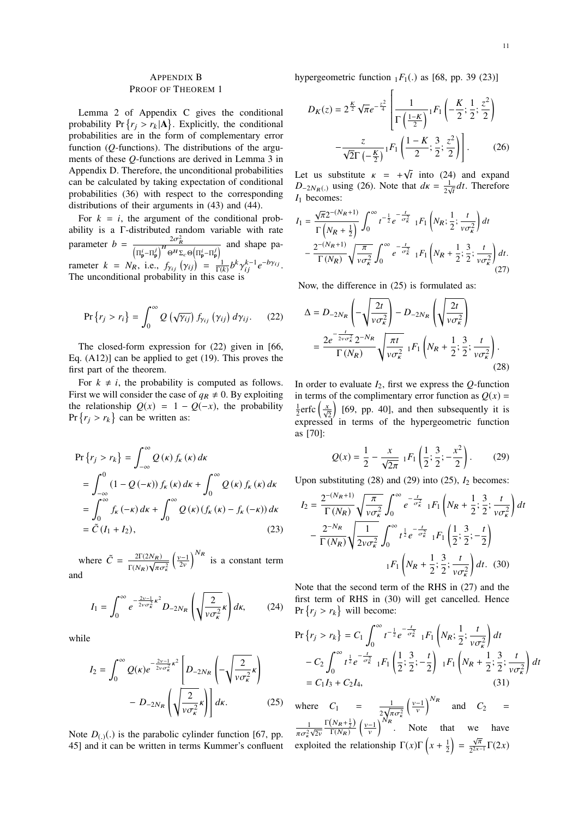# APPENDIX B PROOF OF THEOREM 1

Lemma 2 of Appendix C gives the conditional probability  $Pr\{r_j > r_k | \mathbf{A}\}\$ . Explicitly, the conditional probabilities are in the form of complementary error function (*Q*-functions). The distributions of the arguments of these *Q*-functions are derived in Lemma 3 in Appendix D. Therefore, the unconditional probabilities can be calculated by taking expectation of conditional probabilities (36) with respect to the corresponding distributions of their arguments in (43) and (44).

For  $k = i$ , the argument of the conditional probability is a Γ-distributed random variable with rate parameter  $b = \frac{2\sigma_R^2}{\left(\Pi_{\mathbf{p}}^i - \Pi_{\mathbf{p}}^j\right)^H \Theta^H \Sigma_c \Theta \left(\Pi_{\mathbf{p}}^i - \Pi_{\mathbf{p}}^j\right)}$  and shape parameter  $k = N_R$ , i.e.,  $f_{\gamma_{ij}}(\gamma_{ij}) = \frac{1}{\Gamma(k)} b^k \gamma_{ij}^{k-1} e^{-b\gamma_{ij}}$ . The unconditional probability in this case is

$$
\Pr\left\{r_j > r_i\right\} = \int_0^\infty Q\left(\sqrt{\gamma_{ij}}\right) f_{\gamma_{ij}}\left(\gamma_{ij}\right) d\gamma_{ij}.\tag{22}
$$

The closed-form expression for (22) given in [66, Eq. (A12)] can be applied to get (19). This proves the first part of the theorem.

For  $k \neq i$ , the probability is computed as follows. First we will consider the case of  $q_R \neq 0$ . By exploiting the relationship  $Q(x) = 1 - Q(-x)$ , the probability  $Pr\{r_j > r_k\}$  can be written as:

$$
\Pr\left\{r_j > r_k\right\} = \int_{-\infty}^{\infty} Q\left(\kappa\right) f_k\left(\kappa\right) d\kappa
$$
\n
$$
= \int_{-\infty}^{0} \left(1 - Q\left(-\kappa\right)\right) f_k\left(\kappa\right) d\kappa + \int_{0}^{\infty} Q\left(\kappa\right) f_k\left(\kappa\right) d\kappa
$$
\n
$$
= \int_{0}^{\infty} f_k\left(-\kappa\right) d\kappa + \int_{0}^{\infty} Q\left(\kappa\right) \left(f_k\left(\kappa\right) - f_k\left(-\kappa\right)\right) d\kappa
$$
\n
$$
= \tilde{C}\left(I_1 + I_2\right),\tag{23}
$$

where  $\tilde{C} = \frac{2\Gamma(2N_R)}{\Gamma(2N_R)}$  $\frac{\Gamma(N_R)}{\Gamma(N_R)} \sqrt{\pi \sigma_{\kappa}^2}$  $\left(\frac{v-1}{2v}\right)$  $\int_{R}^{N_R}$  is a constant term and

$$
I_1 = \int_0^\infty e^{-\frac{2\nu - 1}{2\nu\sigma_K^2}\kappa^2} D_{-2N_R} \left( \sqrt{\frac{2}{\nu\sigma_K^2}} \kappa \right) d\kappa, \qquad (24)
$$

while

$$
I_2 = \int_0^\infty Q(\kappa)e^{-\frac{2\nu - 1}{2\nu\sigma^2\kappa}\kappa^2} \left[ D_{-2N_R} \left( -\sqrt{\frac{2}{\nu\sigma^2\kappa}} \kappa \right) - D_{-2N_R} \left( \sqrt{\frac{2}{\nu\sigma^2\kappa}} \kappa \right) \right] d\kappa.
$$
 (25)

Note  $D_{(.)}(.)$  is the parabolic cylinder function [67, pp. 45] and it can be written in terms Kummer's confluent hypergeometric function  $_1F_1(.)$  as [68, pp. 39 (23)]

$$
D_K(z) = 2^{\frac{K}{2}} \sqrt{\pi} e^{-\frac{z^2}{4}} \left[ \frac{1}{\Gamma\left(\frac{1-K}{2}\right)} {}_1F_1\left(-\frac{K}{2}; \frac{1}{2}; \frac{z^2}{2}\right) - \frac{z}{\sqrt{2}\Gamma\left(-\frac{K}{2}\right)} {}_1F_1\left(\frac{1-K}{2}; \frac{3}{2}; \frac{z^2}{2}\right) \right].
$$
 (26)

Let us substitute  $\kappa = +\sqrt{t}$  into (24) and expand  $D_{-2N_R(.)}$  using (26). Note that  $d\kappa = \frac{1}{2N_R}$  $\frac{1}{2\sqrt{t}}dt$ . Therefore *I*<sup>1</sup> becomes:

$$
I_{1} = \frac{\sqrt{\pi}2^{-(N_{R}+1)}}{\Gamma(N_{R}+\frac{1}{2})} \int_{0}^{\infty} t^{-\frac{1}{2}} e^{-\frac{t}{\sigma_{K}^{2}}} {}_{1}F_{1}\left(N_{R}; \frac{1}{2}; \frac{t}{\nu\sigma_{K}^{2}}\right) dt
$$

$$
- \frac{2^{-(N_{R}+1)}}{\Gamma(N_{R})} \sqrt{\frac{\pi}{\nu\sigma_{K}^{2}}} \int_{0}^{\infty} e^{-\frac{t}{\sigma_{K}^{2}}} {}_{1}F_{1}\left(N_{R}+\frac{1}{2}; \frac{3}{2}; \frac{t}{\nu\sigma_{K}^{2}}\right) dt.
$$
(27)

Now, the difference in (25) is formulated as:

$$
\Delta = D_{-2N_R} \left( -\sqrt{\frac{2t}{v \sigma_{\kappa}^2}} \right) - D_{-2N_R} \left( \sqrt{\frac{2t}{v \sigma_{\kappa}^2}} \right)
$$
  
= 
$$
\frac{2e^{-\frac{t}{2v \sigma_{\kappa}^2}} 2^{-N_R}}{\Gamma(N_R)} \sqrt{\frac{\pi t}{v \sigma_{\kappa}^2}} {}_1F_1 \left( N_R + \frac{1}{2}; \frac{3}{2}; \frac{t}{v \sigma_{\kappa}^2} \right).
$$
(28)

In order to evaluate  $I_2$ , first we express the  $Q$ -function in terms of the complimentary error function as  $Q(x)$  =  $\frac{1}{2}$ erfc $\left(\frac{x}{\sqrt{2}}\right)$ [69, pp. 40], and then subsequently it is expressed in terms of the hypergeometric function as [70]:

$$
Q(x) = \frac{1}{2} - \frac{x}{\sqrt{2\pi}} I F_1\left(\frac{1}{2}; \frac{3}{2}; -\frac{x^2}{2}\right). \tag{29}
$$

Upon substituting  $(28)$  and  $(29)$  into  $(25)$ ,  $I_2$  becomes:

$$
I_2 = \frac{2^{-(N_R+1)}}{\Gamma(N_R)} \sqrt{\frac{\pi}{v \sigma_K^2}} \int_0^{\infty} e^{-\frac{t}{\sigma_K^2}} {}_{1}F_1\left(N_R + \frac{1}{2}; \frac{3}{2}; \frac{t}{v \sigma_K^2}\right) dt
$$

$$
- \frac{2^{-N_R}}{\Gamma(N_R)} \sqrt{\frac{1}{2v \sigma_K^2}} \int_0^{\infty} t^{\frac{1}{2}} e^{-\frac{t}{\sigma_K^2}} {}_{1}F_1\left(\frac{1}{2}; \frac{3}{2}; -\frac{t}{2}\right)
$$

$$
{}_{1}F_1\left(N_R + \frac{1}{2}; \frac{3}{2}; \frac{t}{v \sigma_K^2}\right) dt. \quad (30)
$$

Note that the second term of the RHS in (27) and the first term of RHS in (30) will get cancelled. Hence  $Pr\{r_j > r_k\}$  will become:

$$
\Pr\left\{r_j > r_k\right\} = C_1 \int_0^\infty t^{-\frac{1}{2}} e^{-\frac{t}{\sigma_k^2}} {}_{1}F_1\left(N_R; \frac{1}{2}; \frac{t}{\nu \sigma_k^2}\right) dt
$$
  
\n
$$
- C_2 \int_0^\infty t^{\frac{1}{2}} e^{-\frac{t}{\sigma_k^2}} {}_{1}F_1\left(\frac{1}{2}; \frac{3}{2}; -\frac{t}{2}\right) {}_{1}F_1\left(N_R + \frac{1}{2}; \frac{3}{2}; \frac{t}{\nu \sigma_k^2}\right) dt
$$
  
\n
$$
= C_1 I_3 + C_2 I_4,
$$
  
\n(31)

where  $C_1 = \frac{1}{2\sqrt{2}}$  $2\sqrt{\pi \sigma_{\kappa}^2}$  $\left(\frac{v-1}{v}\right)$  $\int^{N_R}$  and  $C_2$  =  $\frac{1}{\pi \sigma_{\kappa}^2 \sqrt{2\nu}} \frac{\Gamma(N_R + \frac{1}{2})}{\Gamma(N_R)}$  $\left(\frac{v-1}{v}\right)$  $\int_{0}^{N_R}$ . Note that we have exploited the relationship  $\Gamma(x)\Gamma\left(x+\frac{1}{2}\right)$  $= \frac{\sqrt{\pi}}{2}$  $\frac{\sqrt{\pi}}{2^{2x-1}}\Gamma(2x)$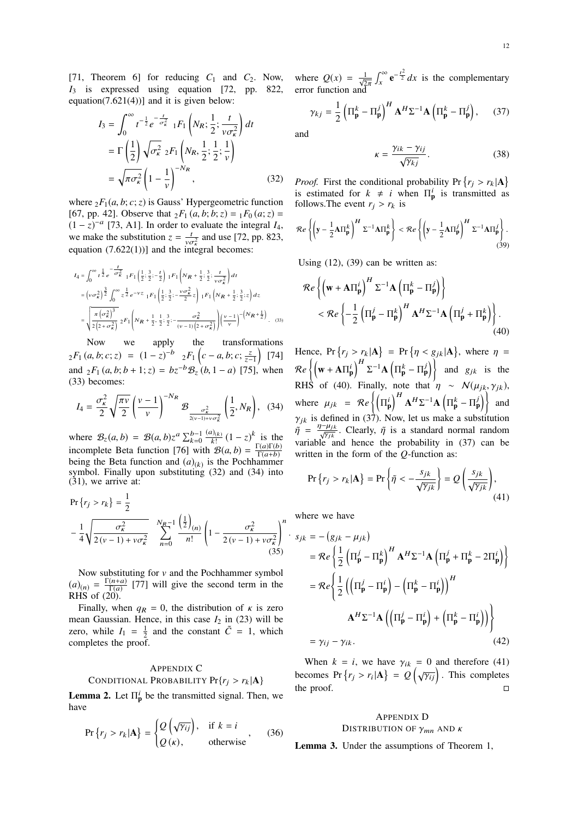[71, Theorem 6] for reducing  $C_1$  and  $C_2$ . Now, *I*<sup>3</sup> is expressed using equation [72, pp. 822, equation(7.621(4))] and it is given below:

$$
I_3 = \int_0^\infty t^{-\frac{1}{2}} e^{-\frac{t}{\sigma_k^2}} {}_{1}F_1\left(N_R; \frac{1}{2}; \frac{t}{v\sigma_k^2}\right) dt
$$
  
=  $\Gamma\left(\frac{1}{2}\right) \sqrt{\sigma_k^2} {}_{2}F_1\left(N_R, \frac{1}{2}; \frac{1}{2}; \frac{1}{v}\right)$   
=  $\sqrt{\pi \sigma_k^2} \left(1 - \frac{1}{v}\right)^{-N_R},$  (32)

where  ${}_2F_1(a, b; c; z)$  is Gauss' Hypergeometric function [67, pp. 42]. Observe that  ${}_2F_1(a, b; b; z) = {}_1F_0(a; z)$  =  $(1-z)^{-a}$  [73, A1]. In order to evaluate the integral *I*<sub>4</sub>, we make the substitution  $z = \frac{t}{v \sigma_k^2}$  and use [72, pp. 823, equation  $(7.622(1))$ ] and the integral becomes:

$$
I_{4} = \int_{0}^{\infty} t^{\frac{1}{2}} e^{-\frac{t}{\sigma_{K}^{2}}} \, 1F_{1}\left(\frac{1}{2}; \frac{3}{2}; -\frac{t}{2}\right) \, 1F_{1}\left(N_{R} + \frac{1}{2}; \frac{3}{2}; \frac{t}{v\sigma_{K}^{2}}\right) dt
$$
\n
$$
= \left(v\sigma_{K}^{2}\right)^{\frac{3}{2}} \int_{0}^{\infty} z^{\frac{1}{2}} e^{-vz} \, 1F_{1}\left(\frac{1}{2}; \frac{3}{2}; -\frac{v\sigma_{K}^{2}}{2}z\right) \, 1F_{1}\left(N_{R} + \frac{1}{2}; \frac{3}{2}; z\right) dz
$$
\n
$$
= \sqrt{\frac{\pi \left(\sigma_{K}^{2}\right)^{3}}{2\left(2 + \sigma_{K}^{2}\right)}} 2F_{1}\left(N_{R} + \frac{1}{2}; \frac{1}{2}; \frac{3}{2}; -\frac{\sigma_{K}^{2}}{(v-1)\left(2 + \sigma_{K}^{2}\right)}\right)\left(\frac{v-1}{v}\right)^{-\left(N_{R} + \frac{1}{2}\right)}.\tag{33}
$$

Now we apply the transformations  ${}_{2}F_{1}(a, b; c; z) = (1 - z)^{-b} {}_{2}F_{1}(c - a, b; c; \frac{z}{z-1})$  $\frac{1}{2}$  [74] and  ${}_2F_1(a, b; b + 1; z) = bz^{-b}\mathcal{B}_z(b, 1 - a)$  [75], when (33) becomes:

$$
I_4 = \frac{\sigma_{\kappa}^2}{2} \sqrt{\frac{\pi v}{2}} \left(\frac{v - 1}{v}\right)^{-N_R} \mathcal{B}_{\frac{\sigma_{\kappa}^2}{2(v - 1) + v \sigma_{\kappa}^2}} \left(\frac{1}{2}, N_R\right), (34)
$$

where  $\mathcal{B}_z(a, b) = \mathcal{B}(a, b)z^a \sum_{k=0}^{b-1} \frac{(a)_{(k)}}{k!} (1 - z)^k$  is the incomplete Beta function [76] with  $\mathcal{B}(a, b) = \frac{\Gamma(a)\Gamma(b)}{\Gamma(a+b)}$  $\Gamma(a+b)$ being the Beta function and  $(a)_{(k)}$  is the Pochhammer symbol. Finally upon substituting (32) and (34) into  $(31)$ , we arrive at:

$$
\Pr\left\{r_j > r_k\right\} = \frac{1}{2}
$$
\n
$$
-\frac{1}{4} \sqrt{\frac{\sigma_k^2}{2\left(\nu - 1\right) + \nu \sigma_k^2}} \sum_{n=0}^{N_R - 1} \frac{\left(\frac{1}{2}\right)_{(n)}}{n!} \left(1 - \frac{\sigma_k^2}{2\left(\nu - 1\right) + \nu \sigma_k^2}\right)^n \tag{35}
$$

Now substituting for  $v$  and the Pochhammer symbol  $(a)_{(n)} = \frac{\Gamma(n+a)}{\Gamma(a)}$  $\frac{(n+a)}{\Gamma(a)}$  [77] will give the second term in the RHS of (20).

Finally, when  $q_R = 0$ , the distribution of  $\kappa$  is zero mean Gaussian. Hence, in this case  $I_2$  in (23) will be zero, while  $I_1 = \frac{1}{2}$  and the constant  $\tilde{C} = 1$ , which completes the proof.

# APPENDIX C

# CONDITIONAL PROBABILITY  $Pr{r_j > r_k | \mathbf{A}}$

**Lemma 2.** Let  $\Pi_{\bf p}^i$  be the transmitted signal. Then, we have

$$
\Pr\left\{r_j > r_k | \mathbf{A}\right\} = \begin{cases} Q\left(\sqrt{\gamma_{ij}}\right), & \text{if } k = i \\ Q\left(\kappa\right), & \text{otherwise} \end{cases} \tag{36}
$$

where  $Q(x) = \frac{1}{\sqrt{2\pi}}$  $\int_{x}^{\infty} e^{-\frac{t^2}{2}} dx$  is the complementary error function and

$$
\gamma_{kj} = \frac{1}{2} \left( \Pi_{\mathbf{p}}^k - \Pi_{\mathbf{p}}^j \right)^H \mathbf{A}^H \Sigma^{-1} \mathbf{A} \left( \Pi_{\mathbf{p}}^k - \Pi_{\mathbf{p}}^j \right), \qquad (37)
$$

and

$$
\kappa = \frac{\gamma_{ik} - \gamma_{ij}}{\sqrt{\gamma_{kj}}}.
$$
\n(38)

*Proof.* First the conditional probability Pr  $\{r_j > r_k | \mathbf{A}\}\$ is estimated for  $k \neq i$  when  $\Pi_{\mathbf{p}}^i$  is transmitted as follows. The event  $r_j > r_k$  is

$$
\mathcal{R}e\left\{\left(\mathbf{y}-\frac{1}{2}\mathbf{A}\Pi_{\mathbf{p}}^{k}\right)^{H}\Sigma^{-1}\mathbf{A}\Pi_{\mathbf{p}}^{k}\right\}<\mathcal{R}e\left\{\left(\mathbf{y}-\frac{1}{2}\mathbf{A}\Pi_{\mathbf{p}}^{j}\right)^{H}\Sigma^{-1}\mathbf{A}\Pi_{\mathbf{p}}^{j}\right\}.\tag{39}
$$

Using (12), (39) can be written as:

$$
\mathcal{R}e\left\{ \left(\mathbf{w} + \mathbf{A}\Pi_{\mathbf{p}}^{i}\right)^{H} \Sigma^{-1} \mathbf{A} \left(\Pi_{\mathbf{p}}^{k} - \Pi_{\mathbf{p}}^{j}\right) \right\} \n< \mathcal{R}e\left\{ -\frac{1}{2} \left(\Pi_{\mathbf{p}}^{j} - \Pi_{\mathbf{p}}^{k}\right)^{H} \mathbf{A}^{H} \Sigma^{-1} \mathbf{A} \left(\Pi_{\mathbf{p}}^{j} + \Pi_{\mathbf{p}}^{k}\right) \right\}.
$$
\n(40)

Hence, Pr  $\{r_j > r_k | \mathbf{A} \}$  = Pr  $\{\eta < g_{jk} | \mathbf{A} \}$ , where  $\eta$  = R*e*  $\left\{ (\mathbf{w} + \mathbf{A} \Pi_{\mathbf{p}}^i \right\}$  $\int^H \Sigma^{-1} \mathbf{A} \left( \Pi_{\mathbf{p}}^k - \Pi_{\mathbf{p}}^j \right)$ Ň and  $g_{jk}$  is the RHS of (40). Finally, note that  $\eta \sim N(\mu_{jk}, \gamma_{jk})$ , where  $\mu_{jk} = \Re e \left\{ \left( \Pi_{\mathbf{p}}^i \right) \right\}$  $\int^H \mathbf{A}^H \Sigma^{-1} \mathbf{A} \left( \Pi^k_{\mathbf{p}} - \Pi^j_{\mathbf{p}} \right)$  $\tilde{\mathcal{N}}$ and  $\gamma_{jk}$  is defined in (37). Now, let us make a substitution  $\tilde{\eta} = \frac{\eta - \mu_{jk}}{\sqrt{\gamma_{jk}}}$ . Clearly,  $\tilde{\eta}$  is a standard normal random variable and hence the probability in  $(37)$  can be written in the form of the *Q*-function as:

$$
\Pr\left\{r_j > r_k | \mathbf{A}\right\} = \Pr\left\{\tilde{\eta} < -\frac{s_{jk}}{\sqrt{\gamma_{jk}}}\right\} = Q\left(\frac{s_{jk}}{\sqrt{\gamma_{jk}}}\right),\tag{41}
$$

where we have

.

$$
s_{jk} = - (g_{jk} - \mu_{jk})
$$
  
\n
$$
= \mathcal{R}e \left\{ \frac{1}{2} \left( \Pi_{\mathbf{p}}^{j} - \Pi_{\mathbf{p}}^{k} \right)^{H} \mathbf{A}^{H} \Sigma^{-1} \mathbf{A} \left( \Pi_{\mathbf{p}}^{j} + \Pi_{\mathbf{p}}^{k} - 2 \Pi_{\mathbf{p}}^{i} \right) \right\}
$$
  
\n
$$
= \mathcal{R}e \left\{ \frac{1}{2} \left( \left( \Pi_{\mathbf{p}}^{j} - \Pi_{\mathbf{p}}^{i} \right) - \left( \Pi_{\mathbf{p}}^{k} - \Pi_{\mathbf{p}}^{i} \right) \right)^{H} \right\}
$$
  
\n
$$
\mathbf{A}^{H} \Sigma^{-1} \mathbf{A} \left( \left( \Pi_{\mathbf{p}}^{j} - \Pi_{\mathbf{p}}^{i} \right) + \left( \Pi_{\mathbf{p}}^{k} - \Pi_{\mathbf{p}}^{i} \right) \right) \right\}
$$
  
\n
$$
= \gamma_{ij} - \gamma_{ik}.
$$
\n(42)

When  $k = i$ , we have  $\gamma_{ik} = 0$  and therefore (41) becomes Pr  $\{r_j > r_i | A\} = Q\left(\sqrt{\gamma_{ij}}\right)$ . This completes the proof.  $\Box$ 

# APPENDIX D

DISTRIBUTION OF  $\gamma_{mn}$  AND  $\kappa$ 

Lemma 3. Under the assumptions of Theorem 1,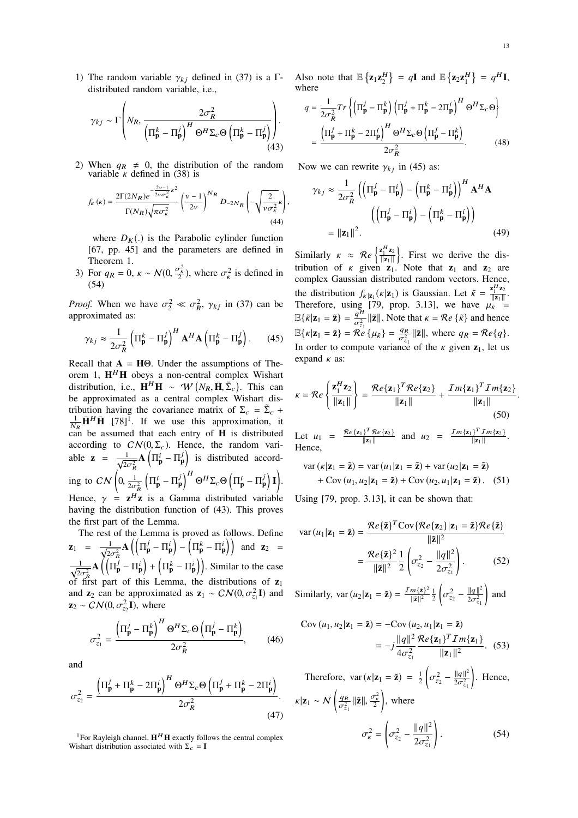.

1) The random variable  $\gamma_{kj}$  defined in (37) is a Γdistributed random variable, i.e.,

$$
\gamma_{kj} \sim \Gamma \left( N_R, \frac{2\sigma_R^2}{\left( \Pi_{\mathbf{p}}^k - \Pi_{\mathbf{p}}^j \right)^H \Theta^H \Sigma_c \Theta \left( \Pi_{\mathbf{p}}^k - \Pi_{\mathbf{p}}^j \right)} \right). \tag{43}
$$

2) When  $q_R \neq 0$ , the distribution of the random variable  $\kappa$  defined in (38) is

$$
f_{\kappa}(\kappa) = \frac{2\Gamma(2N_R)e^{-\frac{2\nu-1}{2\nu\sigma_K^2}\kappa^2}}{\Gamma(N_R)\sqrt{\pi\sigma_K^2}} \left(\frac{\nu-1}{2\nu}\right)^{N_R} D_{-2N_R} \left(-\sqrt{\frac{2}{\nu\sigma_K^2}\kappa}\right)
$$
\n(44)

where  $D_K(.)$  is the Parabolic cylinder function [67, pp. 45] and the parameters are defined in Theorem 1.

3) For  $q_R = 0$ ,  $\kappa \sim \mathcal{N}(0, \frac{\sigma_{\kappa}^2}{2})$ , where  $\sigma_{\kappa}^2$  is defined in (54)

*Proof.* When we have  $\sigma_2^2 \ll \sigma_R^2$ ,  $\gamma_{kj}$  in (37) can be approximated as:

$$
\gamma_{kj} \approx \frac{1}{2\sigma_R^2} \left( \Pi_{\mathbf{p}}^k - \Pi_{\mathbf{p}}^j \right)^H \mathbf{A}^H \mathbf{A} \left( \Pi_{\mathbf{p}}^k - \Pi_{\mathbf{p}}^j \right). \tag{45}
$$

Recall that  $A = H\Theta$ . Under the assumptions of Theorem 1,  $H<sup>H</sup>H$  obeys a non-central complex Wishart distribution, i.e.,  $\mathbf{H}^H \mathbf{H} \sim \mathcal{W}(N_R, \mathbf{\bar{H}}, \Sigma_c)$ . This can be approximated as a central complex Wishart distribution having the covariance matrix of  $\Sigma_c = \tilde{\Sigma}_c +$  $\frac{1}{N_R} \bar{\mathbf{H}}^H \bar{\mathbf{H}}$  [78]<sup>1</sup>. If we use this approximation, it can be assumed that each entry of **H** is distributed according to  $CN(0, \Sigma_c)$ . Hence, the random variable **z** =  $\frac{1}{\sqrt{2}a}$  $\frac{1}{2\sigma_p^2}$ **A**  $\left(\Pi_p^i - \Pi_p^j\right)$ ing to  $CN\left(0, \frac{1}{2\sigma_R^2}\right)$  $\int$  is distributed accord- $\left(\Pi^i_{\mathbf{p}} - \Pi^j_{\mathbf{p}}\right)$  $\Big)^H$  Θ $^H\Sigma_c$ Θ $\Big(\Pi^i_{\mathbf{p}}-\Pi^j_{\mathbf{p}}\Big)$  **I**  $\overline{ }$ . Hence,  $\gamma = z^H z$  is a Gamma distributed variable having the distribution function of (43). This proves the first part of the Lemma.

The rest of the Lemma is proved as follows. Define **z**<sub>1</sub> =  $\frac{1}{\sqrt{2}i}$  $\frac{1}{2\sigma_R^2}$ **A**  $\left( \left( \Pi_{\mathbf{p}}^j - \Pi_{\mathbf{p}}^i \right) \right)$ Ï −  $\left(\Pi_{\mathbf{p}}^k - \Pi_{\mathbf{p}}^i\right)\right)$  and  $\mathbf{z}_2$  =  $\frac{1}{\sqrt{2}}$  $\frac{1}{2\sigma_R^2}$ **A**  $\left(\left(\Pi_{\mathbf{p}}^j - \Pi_{\mathbf{p}}^i\right)\right)$  $\left( \Pi_{\mathbf{p}}^{k} - \Pi_{\mathbf{p}}^{i} \right)$ . Similar to the case of first part of this Lemma, the distributions of  $z_1$ and **z**<sub>2</sub> can be approximated as **z**<sub>1</sub> ~  $CN(0, \sigma_{z_1}^2 \mathbf{I})$  and  $\mathbf{z}_2 \sim \mathcal{CN}(0, \sigma_{z_2}^2 \mathbf{I})$ , where

$$
\sigma_{z_1}^2 = \frac{\left(\Pi_{\mathbf{p}}^j - \Pi_{\mathbf{p}}^k\right)^H \Theta^H \Sigma_c \Theta \left(\Pi_{\mathbf{p}}^j - \Pi_{\mathbf{p}}^k\right)}{2\sigma_R^2},\qquad(46)
$$

and

$$
\sigma_{z_2}^2 = \frac{\left(\Pi_{\mathbf{p}}^j + \Pi_{\mathbf{p}}^k - 2\Pi_{\mathbf{p}}^i\right)^H \Theta^H \Sigma_c \Theta \left(\Pi_{\mathbf{p}}^j + \Pi_{\mathbf{p}}^k - 2\Pi_{\mathbf{p}}^i\right)}{2\sigma_R^2}.
$$
\n(47)

<sup>1</sup>For Rayleigh channel,  $H^H H$  exactly follows the central complex Wishart distribution associated with  $\Sigma_c = I$ 

Also note that  $\mathbb{E}\left\{\mathbf{z}_1 \mathbf{z}_2^H\right\} = q\mathbf{I}$  and  $\mathbb{E}\left\{\mathbf{z}_2 \mathbf{z}_1^H\right\} = q^H \mathbf{I}$ , where

$$
q = \frac{1}{2\sigma_R^2} Tr \left\{ \left( \Pi_{\mathbf{p}}^j - \Pi_{\mathbf{p}}^k \right) \left( \Pi_{\mathbf{p}}^j + \Pi_{\mathbf{p}}^k - 2\Pi_{\mathbf{p}}^i \right)^H \Theta^H \Sigma_c \Theta \right\}
$$

$$
= \frac{\left( \Pi_{\mathbf{p}}^j + \Pi_{\mathbf{p}}^k - 2\Pi_{\mathbf{p}}^i \right)^H \Theta^H \Sigma_c \Theta \left( \Pi_{\mathbf{p}}^j - \Pi_{\mathbf{p}}^k \right)}{2\sigma_R^2}.
$$
(48)

Now we can rewrite  $\gamma_{ki}$  in (45) as:

,

$$
\gamma_{kj} \approx \frac{1}{2\sigma_R^2} \left( \left( \Pi_{\mathbf{p}}^j - \Pi_{\mathbf{p}}^i \right) - \left( \Pi_{\mathbf{p}}^k - \Pi_{\mathbf{p}}^i \right) \right)^H \mathbf{A}^H \mathbf{A}
$$

$$
\left( \left( \Pi_{\mathbf{p}}^j - \Pi_{\mathbf{p}}^i \right) - \left( \Pi_{\mathbf{p}}^k - \Pi_{\mathbf{p}}^i \right) \right)
$$

$$
= \|\mathbf{z}_1\|^2. \tag{49}
$$

Similarly  $\kappa \approx \Re e \left\{ \frac{\mathbf{z}_{\perp}^H \mathbf{z}_{2}}{\|\mathbf{z}_{1}\|} \right\}$  $\|\mathbf{z}_1\|$ o . First we derive the distribution of  $\kappa$  given  $\mathbf{z}_1$ . Note that  $\mathbf{z}_1$  and  $\mathbf{z}_2$  are complex Gaussian distributed random vectors. Hence, the distribution  $f_{k|z_1}(k|z_1)$  is Gaussian. Let  $\tilde{\kappa} = \frac{z_1^H z_2}{\|z_1\|}$  $\frac{\mathbf{z}_1 - \mathbf{z}_2}{\|\mathbf{z}_1\|}$ . Therefore, using [79, prop. 3.13], we have  $\mu_{\tilde{k}}^{\|\tilde{k}\|}$ =  $\mathbb{E}\{\tilde{\kappa}|\mathbf{z}_1=\tilde{\mathbf{z}}\}=\frac{q^H}{\sigma_z^2}$  $rac{q^{H}}{\sigma_{z_1}^2}$  || $\tilde{z}$ ||. Note that  $\kappa = \mathcal{R}e \{\tilde{\kappa}\}\$  and hence  $\mathbb{E}\{\kappa|\mathbf{z}_1 = \tilde{\mathbf{z}}\} = \tilde{\mathcal{R}}e^{\int_{0}^{2\pi} \{\mu_{\tilde{\kappa}}\}} = \frac{q_{\mathcal{R}}}{\sigma_{\tau}^2}$  $rac{q_R}{\sigma_{z_1}^2}$   $||\tilde{\mathbf{z}}||$ , where  $q_R = \mathcal{R}e\{q\}.$ In order to compute variance of the  $\kappa$  given  $z_1$ , let us expand  $\kappa$  as:

$$
\kappa = \mathcal{R}e\left\{\frac{\mathbf{z}_1^H \mathbf{z}_2}{\|\mathbf{z}_1\|}\right\} = \frac{\mathcal{R}e\{\mathbf{z}_1\}^T \mathcal{R}e\{\mathbf{z}_2\}}{\|\mathbf{z}_1\|} + \frac{\mathcal{I}m\{\mathbf{z}_1\}^T \mathcal{I}m\{\mathbf{z}_2\}}{\|\mathbf{z}_1\|}
$$
(50)

Let  $u_1 = \frac{\Re e \{z_1\}^T \Re e \{z_2\}}{\|z_1\|}$  $\frac{1}{\|z_1\|}^T \frac{\mathcal{R}e\{z_2\}}{\|z_1\|}$  and  $u_2 = \frac{Im\{z_1\}^T Im\{z_2\}}{\|z_1\|}$  $\frac{f' \cdot Im\{z_2\}}{\|z_1\|}$ . Hence,

$$
\operatorname{var}(\kappa|\mathbf{z}_1 = \tilde{\mathbf{z}}) = \operatorname{var}(u_1|\mathbf{z}_1 = \tilde{\mathbf{z}}) + \operatorname{var}(u_2|\mathbf{z}_1 = \tilde{\mathbf{z}})
$$

$$
+ \operatorname{Cov}(u_1, u_2|\mathbf{z}_1 = \tilde{\mathbf{z}}) + \operatorname{Cov}(u_2, u_1|\mathbf{z}_1 = \tilde{\mathbf{z}}). (51)
$$

Using [79, prop. 3.13], it can be shown that:

$$
\text{var}\left(u_1|\mathbf{z}_1 = \tilde{\mathbf{z}}\right) = \frac{\mathcal{R}e\{\tilde{\mathbf{z}}\}^T \text{Cov}\{\mathcal{R}e\{\mathbf{z}_2\}|\mathbf{z}_1 = \tilde{\mathbf{z}}\}\mathcal{R}e\{\tilde{\mathbf{z}}\}}{||\tilde{\mathbf{z}}||^2}
$$
\n
$$
= \frac{\mathcal{R}e\{\tilde{\mathbf{z}}\}^2}{||\tilde{\mathbf{z}}||^2} \frac{1}{2} \left(\sigma_{z_2}^2 - \frac{||q||^2}{2\sigma_{z_1}^2}\right). \tag{52}
$$

Similarly, var 
$$
(u_2|\mathbf{z}_1 = \tilde{\mathbf{z}}) = \frac{Im{\{\tilde{\mathbf{z}}}\}^2}{\|\tilde{\mathbf{z}}\|^2} \frac{1}{2} \left(\sigma_{z_2}^2 - \frac{\|g\|^2}{2\sigma_{z_1}^2}\right)
$$
 and

$$
\text{Cov}\left(u_1, u_2 | \mathbf{z}_1 = \tilde{\mathbf{z}}\right) = -\text{Cov}\left(u_2, u_1 | \mathbf{z}_1 = \tilde{\mathbf{z}}\right)
$$
\n
$$
= -j \frac{\|q\|^2}{4\sigma_{z_1}^2} \frac{\Re e\{\mathbf{z}_1\}^T \Im \{ \mathbf{z}_1 \}}{\|\mathbf{z}_1\|^2} . \tag{53}
$$

Therefore,  $var(\kappa | \mathbf{z}_1 = \tilde{\mathbf{z}}) = \frac{1}{2}$  $\overline{1}$  $\sigma_{z_2}^2 - \frac{\|q\|^2}{2\sigma_{z_1}^2}$  $2\sigma_{z_1}^2$  $\overline{ }$ . Hence,  $\kappa|\mathbf{z}_1 \sim \mathcal{N}\left(\frac{q_R}{\sigma_z^2}\right)$  $\frac{q_R}{\sigma_{z_1}^2}$ || $\tilde{\mathbf{z}}$ ||,  $\frac{\sigma_{\kappa}^2}{2}$  $\overline{ }$ , where  $\sigma_{\kappa}^2$  =  $\overline{1}$  $\sigma_{z_2}^2 - \frac{\|q\|^2}{2\sigma^2}$  $2\sigma_{z_1}^2$ !  $(54)$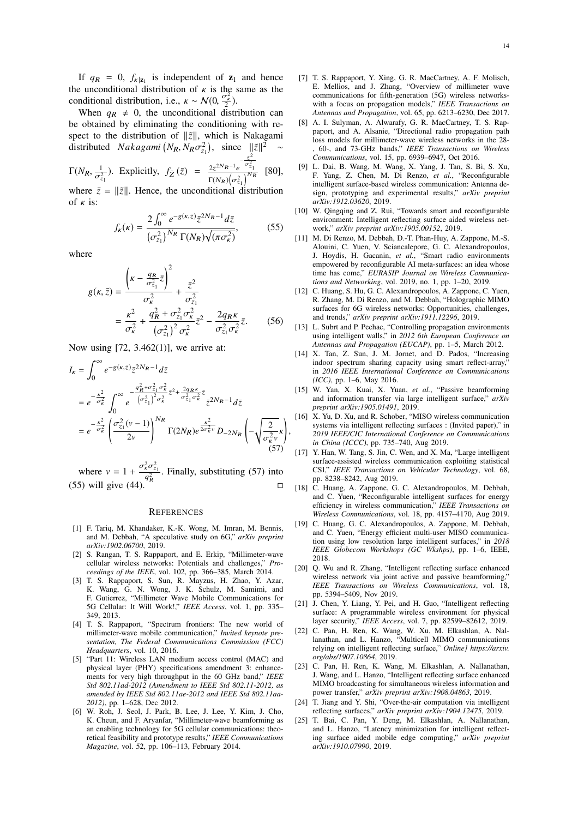If  $q_R = 0$ ,  $f_{k|z_1}$  is independent of  $z_1$  and hence the unconditional distribution of  $\kappa$  is the same as the conditional distribution, i.e.,  $\kappa \sim \mathcal{N}(0, \frac{\sigma_{\kappa}^2}{2})$ .

When  $q_R \neq 0$ , the unconditional distribution can be obtained by eliminating the conditioning with respect to the distribution of  $\|\tilde{z}\|$ , which is Nakagami distributed *Nakagami* ( $N_R$ ,  $N_R \sigma_{z_1}^2$ ), since  $\|\tilde{z}\|^2 \sim$  $-\frac{\bar{z}^2}{z^2}$ 

$$
\Gamma(N_R, \frac{1}{\sigma_{z_1}^2})
$$
. Explicitly,  $f_{\bar{Z}}(\bar{z}) = \frac{2\bar{z}^{2N_R-1}e^{-\sigma_{z_1}^2}}{\Gamma(N_R)(\sigma_{z_1}^2)^{N_R}}$  [80],  
where  $\bar{z} = ||\tilde{z}||$ . Hence, the wavendition

where  $z = ||z||$ . Hence, the unconditional distribution of  $\kappa$  is:

$$
f_{\kappa}(\kappa) = \frac{2\int_0^{\infty} e^{-g(\kappa,\bar{z})} \bar{z}^{2N_R - 1} d\bar{z}}{\left(\sigma_{z_1}^2\right)^{N_R} \Gamma(N_R) \sqrt{(\pi \sigma_{\kappa}^2)}},\tag{55}
$$

where

$$
g(\kappa, \bar{z}) = \frac{\left(\kappa - \frac{q_R}{\sigma_{z_1}^2} \bar{z}\right)^2}{\sigma_{\kappa}^2} + \frac{\bar{z}^2}{\sigma_{z_1}^2}
$$

$$
= \frac{\kappa^2}{\sigma_{\kappa}^2} + \frac{q_R^2 + \sigma_{z_1}^2 \sigma_{\kappa}^2}{\left(\sigma_{z_1}^2\right)^2 \sigma_{\kappa}^2} \bar{z}^2 - \frac{2q_R \kappa}{\sigma_{z_1}^2 \sigma_{\kappa}^2} \bar{z}.
$$
(56)

Now using [72, 3.462(1)], we arrive at:

$$
I_{\kappa} = \int_{0}^{\infty} e^{-g(\kappa,\bar{z})} \bar{z}^{2N_R - 1} d\bar{z}
$$
  
\n
$$
= e^{-\frac{\kappa^2}{\sigma_{\kappa}^2}} \int_{0}^{\infty} e^{-\frac{q_{R}^2 + \sigma_{z_1}^2 \sigma_{\kappa}^2}{(\sigma_{z_1}^2)^2 \sigma_{\kappa}^2} \bar{z}^2 + \frac{2q_{R}\kappa}{\sigma_{z_1}^2 \sigma_{\kappa}^2} \bar{z}} \bar{z}^{2N_R - 1} d\bar{z}
$$
  
\n
$$
= e^{-\frac{\kappa^2}{\sigma_{\kappa}^2}} \left(\frac{\sigma_{z_1}^2 (\nu - 1)}{2\nu}\right)^{N_R} \Gamma(2N_R) e^{\frac{\kappa^2}{2\sigma_{\kappa}^2 \nu}} D_{-2N_R} \left(-\sqrt{\frac{2}{\sigma_{\kappa}^2 \nu}} \kappa\right)
$$
  
\n(57)

where  $v = 1 + \frac{\sigma_{k}^{2} \sigma_{z_1}^{2}}{\sigma_{z_1}^{2}}$  $\frac{\kappa^6 z_1}{q_R^2}$ . Finally, substituting (57) into (55) will give (44).  $\Box$ 

#### **REFERENCES**

- [1] F. Tariq, M. Khandaker, K.-K. Wong, M. Imran, M. Bennis, and M. Debbah, "A speculative study on 6G," *arXiv preprint arXiv:1902.06700*, 2019.
- [2] S. Rangan, T. S. Rappaport, and E. Erkip, "Millimeter-wave cellular wireless networks: Potentials and challenges," *Proceedings of the IEEE*, vol. 102, pp. 366–385, March 2014.
- [3] T. S. Rappaport, S. Sun, R. Mayzus, H. Zhao, Y. Azar, K. Wang, G. N. Wong, J. K. Schulz, M. Samimi, and F. Gutierrez, "Millimeter Wave Mobile Communications for 5G Cellular: It Will Work!," *IEEE Access*, vol. 1, pp. 335– 349, 2013.
- [4] T. S. Rappaport, "Spectrum frontiers: The new world of millimeter-wave mobile communication," *Invited keynote presentation, The Federal Communications Commission (FCC) Headquarters*, vol. 10, 2016.
- [5] "Part 11: Wireless LAN medium access control (MAC) and physical layer (PHY) specifications amendment 3: enhancements for very high throughput in the 60 GHz band," *IEEE Std 802.11ad-2012 (Amendment to IEEE Std 802.11-2012, as amended by IEEE Std 802.11ae-2012 and IEEE Std 802.11aa-2012)*, pp. 1–628, Dec 2012.
- [6] W. Roh, J. Seol, J. Park, B. Lee, J. Lee, Y. Kim, J. Cho, K. Cheun, and F. Aryanfar, "Millimeter-wave beamforming as an enabling technology for 5G cellular communications: theoretical feasibility and prototype results," *IEEE Communications Magazine*, vol. 52, pp. 106–113, February 2014.
- [7] T. S. Rappaport, Y. Xing, G. R. MacCartney, A. F. Molisch, E. Mellios, and J. Zhang, "Overview of millimeter wave communications for fifth-generation (5G) wireless networkswith a focus on propagation models," *IEEE Transactions on Antennas and Propagation*, vol. 65, pp. 6213–6230, Dec 2017.
- [8] A. I. Sulyman, A. Alwarafy, G. R. MacCartney, T. S. Rappaport, and A. Alsanie, "Directional radio propagation path loss models for millimeter-wave wireless networks in the 28- , 60-, and 73-GHz bands," *IEEE Transactions on Wireless Communications*, vol. 15, pp. 6939–6947, Oct 2016.
- [9] L. Dai, B. Wang, M. Wang, X. Yang, J. Tan, S. Bi, S. Xu, F. Yang, Z. Chen, M. Di Renzo, *et al.*, "Reconfigurable intelligent surface-based wireless communication: Antenna design, prototyping and experimental results," *arXiv preprint arXiv:1912.03620*, 2019.
- [10] W. Qingqing and Z. Rui, "Towards smart and reconfigurable environment: Intelligent reflecting surface aided wireless network," *arXiv preprint arXiv:1905.00152*, 2019.
- [11] M. Di Renzo, M. Debbah, D.-T. Phan-Huy, A. Zappone, M.-S. Alouini, C. Yuen, V. Sciancalepore, G. C. Alexandropoulos, J. Hoydis, H. Gacanin, *et al.*, "Smart radio environments empowered by reconfigurable AI meta-surfaces: an idea whose time has come," *EURASIP Journal on Wireless Communications and Networking*, vol. 2019, no. 1, pp. 1–20, 2019.
- [12] C. Huang, S. Hu, G. C. Alexandropoulos, A. Zappone, C. Yuen, R. Zhang, M. Di Renzo, and M. Debbah, "Holographic MIMO surfaces for 6G wireless networks: Opportunities, challenges, and trends," *arXiv preprint arXiv:1911.12296*, 2019.
- [13] L. Subrt and P. Pechac, "Controlling propagation environments using intelligent walls," in *2012 6th European Conference on Antennas and Propagation (EUCAP)*, pp. 1–5, March 2012.
- [14] X. Tan, Z. Sun, J. M. Jornet, and D. Pados, "Increasing indoor spectrum sharing capacity using smart reflect-array," in *2016 IEEE International Conference on Communications (ICC)*, pp. 1–6, May 2016.
- [15] W. Yan, X. Kuai, X. Yuan, *et al.*, "Passive beamforming and information transfer via large intelligent surface," *arXiv preprint arXiv:1905.01491*, 2019.
- [16] X. Yu, D. Xu, and R. Schober, "MISO wireless communication systems via intelligent reflecting surfaces : (Invited paper)," in *2019 IEEE/CIC International Conference on Communications in China (ICCC)*, pp. 735–740, Aug 2019.

,

- [17] Y. Han, W. Tang, S. Jin, C. Wen, and X. Ma, "Large intelligent surface-assisted wireless communication exploiting statistical CSI," *IEEE Transactions on Vehicular Technology*, vol. 68, pp. 8238–8242, Aug 2019.
- [18] C. Huang, A. Zappone, G. C. Alexandropoulos, M. Debbah, and C. Yuen, "Reconfigurable intelligent surfaces for energy efficiency in wireless communication," *IEEE Transactions on Wireless Communications*, vol. 18, pp. 4157–4170, Aug 2019.
- [19] C. Huang, G. C. Alexandropoulos, A. Zappone, M. Debbah, and C. Yuen, "Energy efficient multi-user MISO communication using low resolution large intelligent surfaces," in *2018 IEEE Globecom Workshops (GC Wkshps)*, pp. 1–6, IEEE, 2018.
- [20] Q. Wu and R. Zhang, "Intelligent reflecting surface enhanced wireless network via joint active and passive beamforming," *IEEE Transactions on Wireless Communications*, vol. 18, pp. 5394–5409, Nov 2019.
- [21] J. Chen, Y. Liang, Y. Pei, and H. Guo, "Intelligent reflecting surface: A programmable wireless environment for physical layer security," *IEEE Access*, vol. 7, pp. 82599–82612, 2019.
- [22] C. Pan, H. Ren, K. Wang, W. Xu, M. Elkashlan, A. Nallanathan, and L. Hanzo, "Multicell MIMO communications relying on intelligent reflecting surface," *Online] https://arxiv. org/abs/1907.10864*, 2019.
- [23] C. Pan, H. Ren, K. Wang, M. Elkashlan, A. Nallanathan, J. Wang, and L. Hanzo, "Intelligent reflecting surface enhanced MIMO broadcasting for simultaneous wireless information and power transfer," *arXiv preprint arXiv:1908.04863*, 2019.
- [24] T. Jiang and Y. Shi, "Over-the-air computation via intelligent reflecting surfaces," *arXiv preprint arXiv:1904.12475*, 2019.
- [25] T. Bai, C. Pan, Y. Deng, M. Elkashlan, A. Nallanathan, and L. Hanzo, "Latency minimization for intelligent reflecting surface aided mobile edge computing," *arXiv preprint arXiv:1910.07990*, 2019.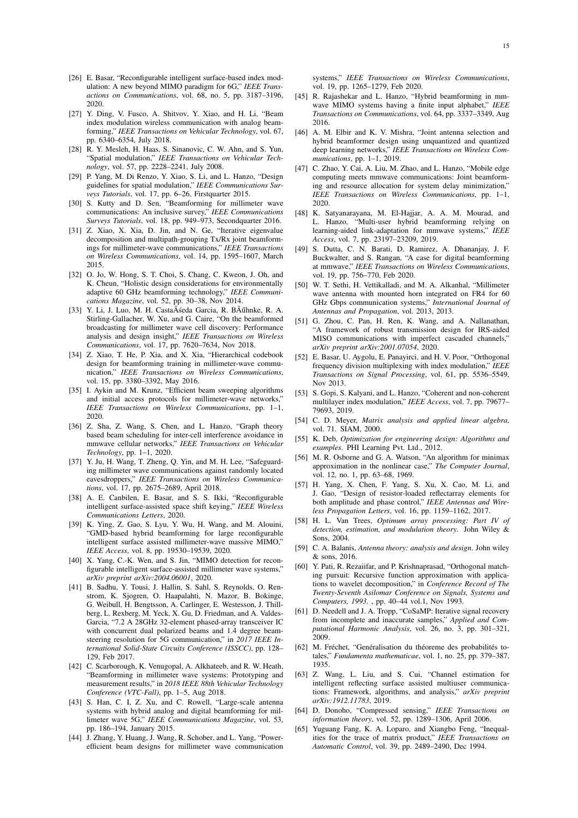- [26] E. Basar, "Reconfigurable intelligent surface-based index modulation: A new beyond MIMO paradigm for 6G," *IEEE Transactions on Communications*, vol. 68, no. 5, pp. 3187–3196, 2020.
- [27] Y. Ding, V. Fusco, A. Shitvov, Y. Xiao, and H. Li, "Beam index modulation wireless communication with analog beamforming," *IEEE Transactions on Vehicular Technology*, vol. 67, pp. 6340–6354, July 2018.
- [28] R. Y. Mesleh, H. Haas, S. Sinanovic, C. W. Ahn, and S. Yun, "Spatial modulation," *IEEE Transactions on Vehicular Technology*, vol. 57, pp. 2228–2241, July 2008.
- [29] P. Yang, M. Di Renzo, Y. Xiao, S. Li, and L. Hanzo, "Design guidelines for spatial modulation," *IEEE Communications Surveys Tutorials*, vol. 17, pp. 6–26, Firstquarter 2015.
- [30] S. Kutty and D. Sen, "Beamforming for millimeter wave communications: An inclusive survey," *IEEE Communications Surveys Tutorials*, vol. 18, pp. 949–973, Secondquarter 2016.
- [31] Z. Xiao, X. Xia, D. Jin, and N. Ge, "Iterative eigenvalue decomposition and multipath-grouping Tx/Rx joint beamformings for millimeter-wave communications," *IEEE Transactions on Wireless Communications*, vol. 14, pp. 1595–1607, March 2015.
- [32] O. Jo, W. Hong, S. T. Choi, S. Chang, C. Kweon, J. Oh, and K. Cheun, "Holistic design considerations for environmentally adaptive 60 GHz beamforming technology," *IEEE Communications Magazine*, vol. 52, pp. 30–38, Nov 2014.
- [33] Y. Li, J. Luo, M. H. CastaÃśeda Garcia, R. BÃűhnke, R. A. Stirling-Gallacher, W. Xu, and G. Caire, "On the beamformed broadcasting for millimeter wave cell discovery: Performance analysis and design insight," *IEEE Transactions on Wireless Communications*, vol. 17, pp. 7620–7634, Nov 2018.
- [34] Z. Xiao, T. He, P. Xia, and X. Xia, "Hierarchical codebook design for beamforming training in millimeter-wave communication," *IEEE Transactions on Wireless Communications*, vol. 15, pp. 3380–3392, May 2016.
- [35] I. Aykin and M. Krunz, "Efficient beam sweeping algorithms and initial access protocols for millimeter-wave networks," *IEEE Transactions on Wireless Communications*, pp. 1–1, 2020.
- [36] Z. Sha, Z. Wang, S. Chen, and L. Hanzo, "Graph theory based beam scheduling for inter-cell interference avoidance in mmwave cellular networks," *IEEE Transactions on Vehicular Technology*, pp. 1–1, 2020.
- [37] Y. Ju, H. Wang, T. Zheng, Q. Yin, and M. H. Lee, "Safeguarding millimeter wave communications against randomly located eavesdroppers," *IEEE Transactions on Wireless Communications*, vol. 17, pp. 2675–2689, April 2018.
- [38] A. E. Canbilen, E. Basar, and S. S. Ikki, "Reconfigurable intelligent surface-assisted space shift keying," *IEEE Wireless Communications Letters*, 2020.
- [39] K. Ying, Z. Gao, S. Lyu, Y. Wu, H. Wang, and M. Alouini, "GMD-based hybrid beamforming for large reconfigurable intelligent surface assisted millimeter-wave massive MIMO," *IEEE Access*, vol. 8, pp. 19530–19539, 2020.
- [40] X. Yang, C.-K. Wen, and S. Jin, "MIMO detection for reconfigurable intelligent surface-assisted millimeter wave systems," *arXiv preprint arXiv:2004.06001*, 2020.
- [41] B. Sadhu, Y. Tousi, J. Hallin, S. Sahl, S. Reynolds, O. Renstrom, K. Sjogren, O. Haapalahti, N. Mazor, B. Bokinge, G. Weibull, H. Bengtsson, A. Carlinger, E. Westesson, J. Thillberg, L. Rexberg, M. Yeck, X. Gu, D. Friedman, and A. Valdes-Garcia, "7.2 A 28GHz 32-element phased-array transceiver IC with concurrent dual polarized beams and 1.4 degree beamsteering resolution for 5G communication," in *2017 IEEE International Solid-State Circuits Conference (ISSCC)*, pp. 128– 129, Feb 2017.
- [42] C. Scarborough, K. Venugopal, A. Alkhateeb, and R. W. Heath, "Beamforming in millimeter wave systems: Prototyping and measurement results," in *2018 IEEE 88th Vehicular Technology Conference (VTC-Fall)*, pp. 1–5, Aug 2018.
- [43] S. Han, C. I, Z. Xu, and C. Rowell, "Large-scale antenna systems with hybrid analog and digital beamforming for millimeter wave 5G," *IEEE Communications Magazine*, vol. 53, pp. 186–194, January 2015.
- [44] J. Zhang, Y. Huang, J. Wang, R. Schober, and L. Yang, "Powerefficient beam designs for millimeter wave communication

systems," *IEEE Transactions on Wireless Communications*, vol. 19, pp. 1265–1279, Feb 2020.

- [45] R. Rajashekar and L. Hanzo, "Hybrid beamforming in mmwave MIMO systems having a finite input alphabet," *IEEE Transactions on Communications*, vol. 64, pp. 3337–3349, Aug 2016.
- [46] A. M. Elbir and K. V. Mishra, "Joint antenna selection and hybrid beamformer design using unquantized and quantized deep learning networks," *IEEE Transactions on Wireless Communications*, pp. 1–1, 2019.
- [47] C. Zhao, Y. Cai, A. Liu, M. Zhao, and L. Hanzo, "Mobile edge computing meets mmwave communications: Joint beamforming and resource allocation for system delay minimization," *IEEE Transactions on Wireless Communications*, pp. 1–1, 2020.
- [48] K. Satyanarayana, M. El-Hajjar, A. A. M. Mourad, and L. Hanzo, "Multi-user hybrid beamforming relying on learning-aided link-adaptation for mmwave systems," *IEEE Access*, vol. 7, pp. 23197–23209, 2019.
- [49] S. Dutta, C. N. Barati, D. Ramirez, A. Dhananjay, J. F. Buckwalter, and S. Rangan, "A case for digital beamforming at mmwave," *IEEE Transactions on Wireless Communications*, vol. 19, pp. 756–770, Feb 2020.
- [50] W. T. Sethi, H. Vettikalladi, and M. A. Alkanhal, "Millimeter wave antenna with mounted horn integrated on FR4 for 60 GHz Gbps communication systems," *International Journal of Antennas and Propagation*, vol. 2013, 2013.
- [51] G. Zhou, C. Pan, H. Ren, K. Wang, and A. Nallanathan, "A framework of robust transmission design for IRS-aided MISO communications with imperfect cascaded channels," *arXiv preprint arXiv:2001.07054*, 2020.
- [52] E. Basar, U. Aygolu, E. Panayirci, and H. V. Poor, "Orthogonal frequency division multiplexing with index modulation," *IEEE Transactions on Signal Processing*, vol. 61, pp. 5536–5549, Nov 2013.
- [53] S. Gopi, S. Kalyani, and L. Hanzo, "Coherent and non-coherent multilayer index modulation," *IEEE Access*, vol. 7, pp. 79677– 79693, 2019.
- [54] C. D. Meyer, *Matrix analysis and applied linear algebra*, vol. 71. SIAM, 2000.
- [55] K. Deb, *Optimization for engineering design: Algorithms and examples*. PHI Learning Pvt. Ltd., 2012.
- [56] M. R. Osborne and G. A. Watson, "An algorithm for minimax approximation in the nonlinear case," *The Computer Journal*, vol. 12, no. 1, pp. 63–68, 1969.
- [57] H. Yang, X. Chen, F. Yang, S. Xu, X. Cao, M. Li, and J. Gao, "Design of resistor-loaded reflectarray elements for both amplitude and phase control," *IEEE Antennas and Wireless Propagation Letters*, vol. 16, pp. 1159–1162, 2017.
- [58] H. L. Van Trees, *Optimum array processing: Part IV of detection, estimation, and modulation theory*. John Wiley & Sons, 2004.
- [59] C. A. Balanis, *Antenna theory: analysis and design*. John wiley & sons, 2016.
- [60] Y. Pati, R. Rezaiifar, and P. Krishnaprasad, "Orthogonal matching pursuit: Recursive function approximation with applications to wavelet decomposition," in *Conference Record of The Twenty-Seventh Asilomar Conference on Signals, Systems and Computers, 1993.* , pp. 40–44 vol.1, Nov 1993.
- [61] D. Needell and J. A. Tropp, "CoSaMP: Iterative signal recovery from incomplete and inaccurate samples," *Applied and Computational Harmonic Analysis*, vol. 26, no. 3, pp. 301–321, 2009.
- [62] M. Fréchet, "Genéralisation du théoreme des probabilités totales," *Fundamenta mathematicae*, vol. 1, no. 25, pp. 379–387, 1935.
- [63] Z. Wang, L. Liu, and S. Cui, "Channel estimation for intelligent reflecting surface assisted multiuser communications: Framework, algorithms, and analysis," *arXiv preprint arXiv:1912.11783*, 2019.
- [64] D. Donoho, "Compressed sensing," *IEEE Transactions on information theory*, vol. 52, pp. 1289–1306, April 2006.
- [65] Yuguang Fang, K. A. Loparo, and Xiangbo Feng, "Inequalities for the trace of matrix product," *IEEE Transactions on Automatic Control*, vol. 39, pp. 2489–2490, Dec 1994.